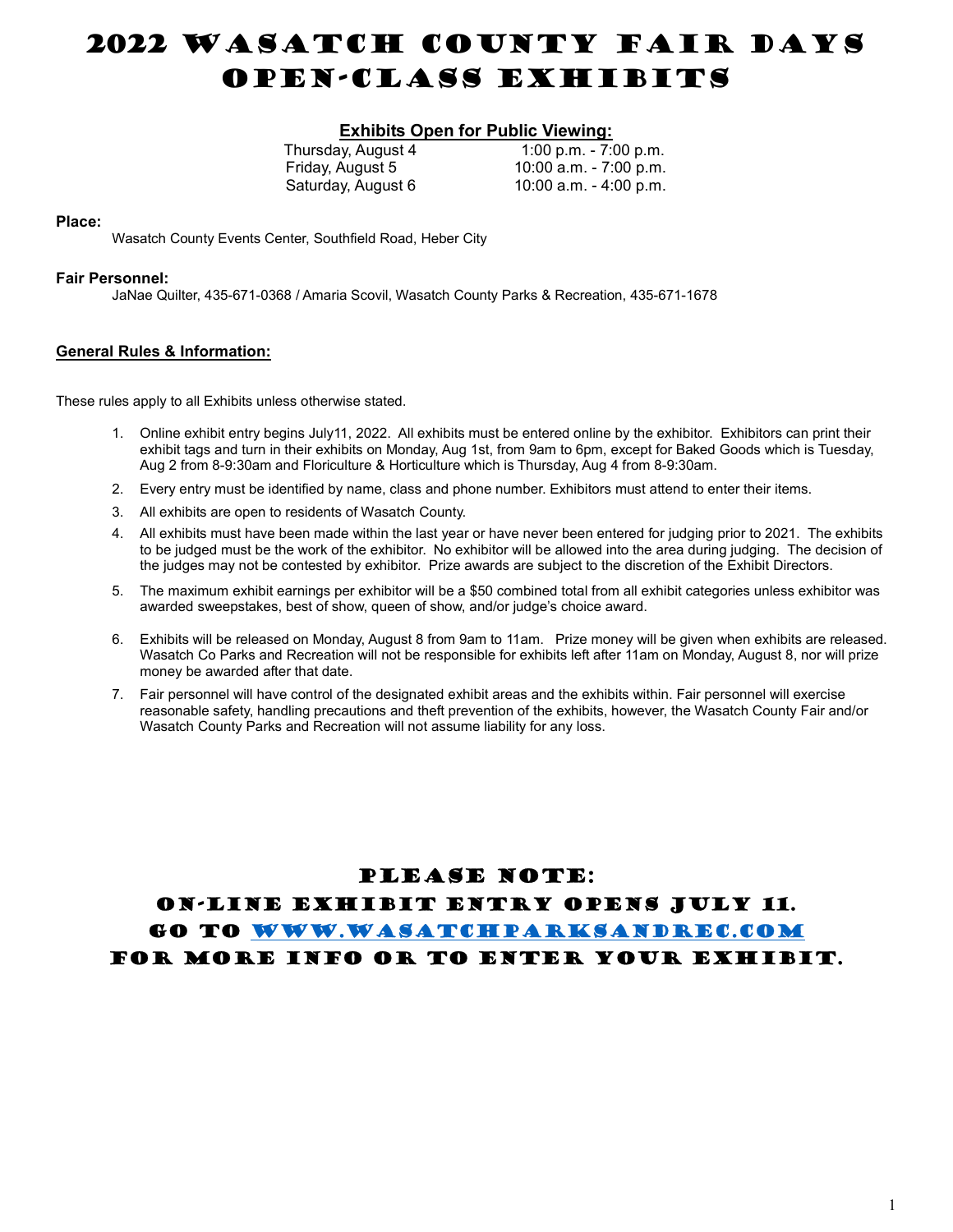# 2022 WASATCH COUNTY FAIR DAYS Open-Class Exhibits

# **Exhibits Open for Public Viewing:**<br>Thursday, August 4 1:00 p.m. - 7:

 $1:00$  p.m.  $- 7:00$  p.m. Friday, August 5 10:00 a.m. - 7:00 p.m. Saturday, August 6 10:00 a.m. - 4:00 p.m.

#### Place:

Wasatch County Events Center, Southfield Road, Heber City

#### Fair Personnel:

JaNae Quilter, 435-671-0368 / Amaria Scovil, Wasatch County Parks & Recreation, 435-671-1678

#### General Rules & Information:

These rules apply to all Exhibits unless otherwise stated.

- 1. Online exhibit entry begins July11, 2022. All exhibits must be entered online by the exhibitor. Exhibitors can print their exhibit tags and turn in their exhibits on Monday, Aug 1st, from 9am to 6pm, except for Baked Goods which is Tuesday, Aug 2 from 8-9:30am and Floriculture & Horticulture which is Thursday, Aug 4 from 8-9:30am.
- 2. Every entry must be identified by name, class and phone number. Exhibitors must attend to enter their items.
- 3. All exhibits are open to residents of Wasatch County.
- 4. All exhibits must have been made within the last year or have never been entered for judging prior to 2021. The exhibits to be judged must be the work of the exhibitor. No exhibitor will be allowed into the area during judging. The decision of the judges may not be contested by exhibitor. Prize awards are subject to the discretion of the Exhibit Directors.
- 5. The maximum exhibit earnings per exhibitor will be a \$50 combined total from all exhibit categories unless exhibitor was awarded sweepstakes, best of show, queen of show, and/or judge's choice award.
- 6. Exhibits will be released on Monday, August 8 from 9am to 11am. Prize money will be given when exhibits are released. Wasatch Co Parks and Recreation will not be responsible for exhibits left after 11am on Monday, August 8, nor will prize money be awarded after that date.
- 7. Fair personnel will have control of the designated exhibit areas and the exhibits within. Fair personnel will exercise reasonable safety, handling precautions and theft prevention of the exhibits, however, the Wasatch County Fair and/or Wasatch County Parks and Recreation will not assume liability for any loss.

## PLEASE NOTE:

ON-LINE EXHIBIT ENTRY opens July 11. Go to www.wasatchparksandrec.com for more info or to enter your exhibit.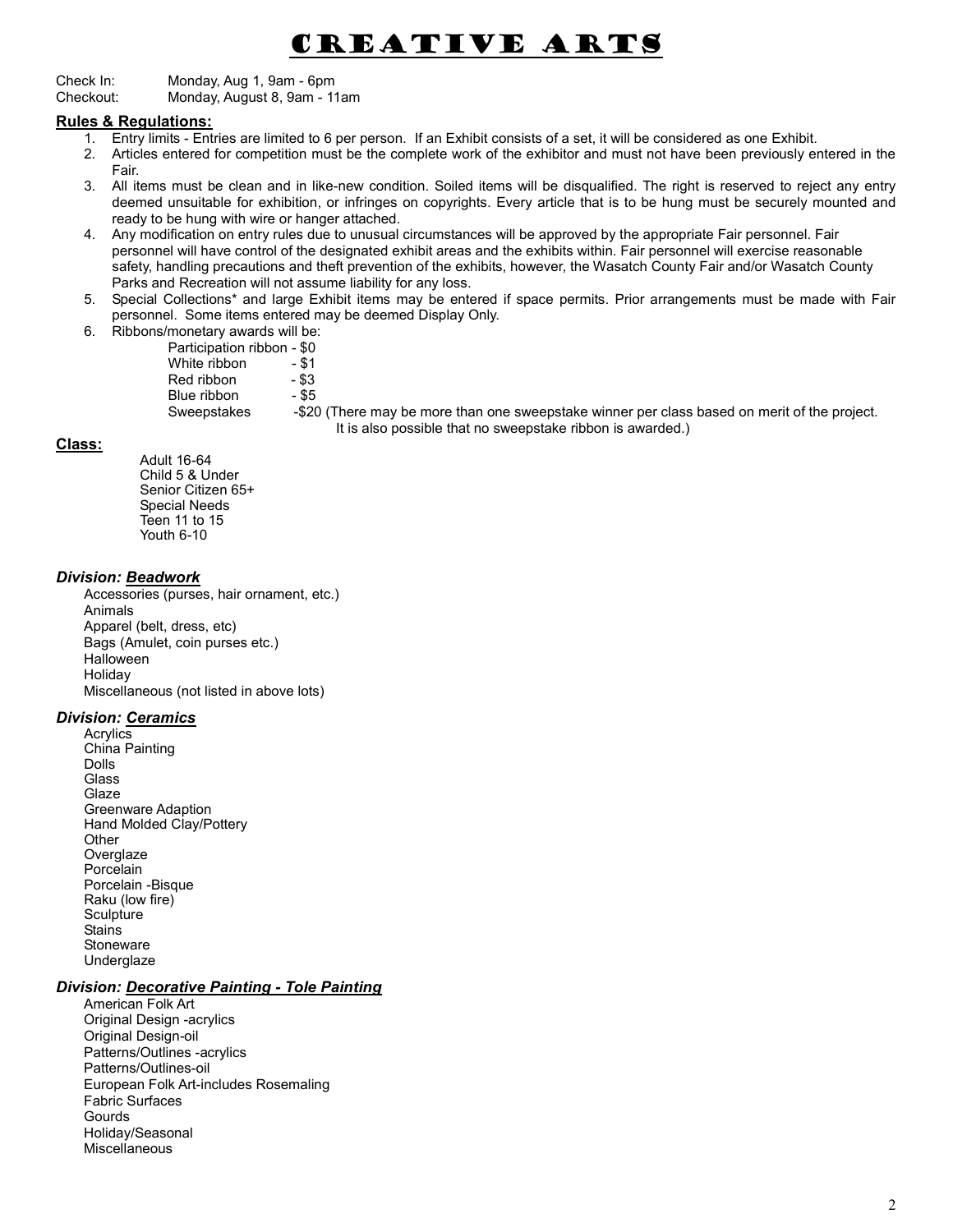# Creative Arts

Check In: Monday, Aug 1, 9am - 6pm Checkout: Monday, August 8, 9am - 11am

## Rules & Regulations:

- 1. Entry limits Entries are limited to 6 per person. If an Exhibit consists of a set, it will be considered as one Exhibit.
- 2. Articles entered for competition must be the complete work of the exhibitor and must not have been previously entered in the Fair.
- 3. All items must be clean and in like-new condition. Soiled items will be disqualified. The right is reserved to reject any entry deemed unsuitable for exhibition, or infringes on copyrights. Every article that is to be hung must be securely mounted and ready to be hung with wire or hanger attached.
- 4. Any modification on entry rules due to unusual circumstances will be approved by the appropriate Fair personnel. Fair personnel will have control of the designated exhibit areas and the exhibits within. Fair personnel will exercise reasonable safety, handling precautions and theft prevention of the exhibits, however, the Wasatch County Fair and/or Wasatch County Parks and Recreation will not assume liability for any loss.
- 5. Special Collections\* and large Exhibit items may be entered if space permits. Prior arrangements must be made with Fair personnel. Some items entered may be deemed Display Only.
- 6. Ribbons/monetary awards will be:

| Participation ribbon - \$0 |          |
|----------------------------|----------|
| White ribbon               | - \$1    |
| Red ribbon                 | $-$ \$3  |
| Blue ribbon                | - \$5    |
| Sweepstakes                | -\$20 (T |
|                            |          |

here may be more than one sweepstake winner per class based on merit of the project. It is also possible that no sweepstake ribbon is awarded.)

## Class:

Adult 16-64 Child 5 & Under Senior Citizen 65+ Special Needs Teen 11 to 15 Youth 6-10

## Division: Beadwork

Accessories (purses, hair ornament, etc.) Animals Apparel (belt, dress, etc) Bags (Amulet, coin purses etc.) **Halloween**  Holiday Miscellaneous (not listed in above lots)

## Division: Ceramics

**Acrylics** China Painting Dolls Glass Glaze Greenware Adaption Hand Molded Clay/Pottery **Other Overglaze** Porcelain Porcelain -Bisque Raku (low fire) Sculpture **Stains Stoneware** Underglaze

## Division: Decorative Painting - Tole Painting

 American Folk Art Original Design -acrylics Original Design-oil Patterns/Outlines -acrylics Patterns/Outlines-oil European Folk Art-includes Rosemaling Fabric Surfaces Gourds Holiday/Seasonal Miscellaneous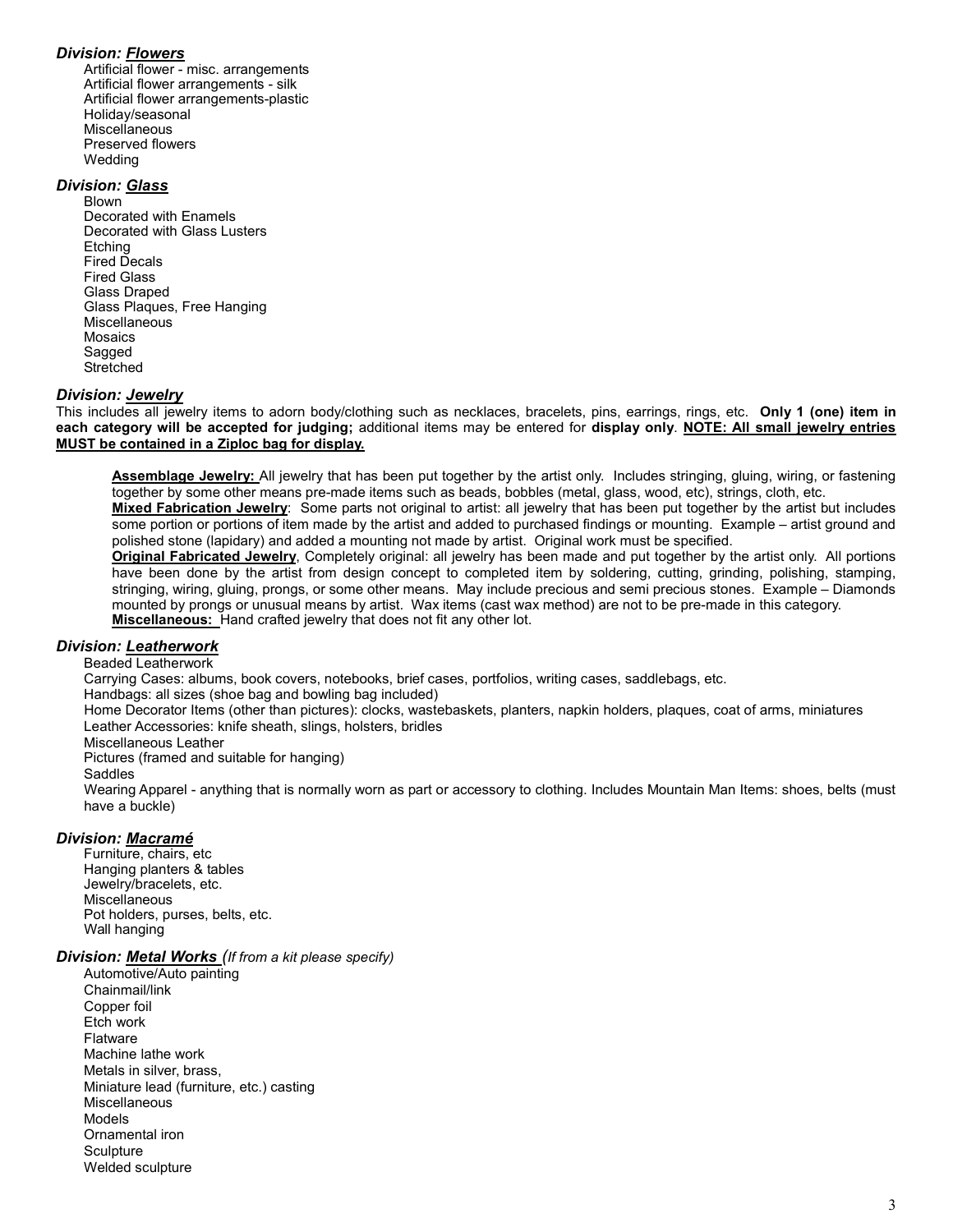## Division: Flowers

 Artificial flower - misc. arrangements Artificial flower arrangements - silk Artificial flower arrangements-plastic Holiday/seasonal Miscellaneous Preserved flowers Wedding

#### Division: <u>Glass</u>

 Blown Decorated with Enamels Decorated with Glass Lusters **Etching**  Fired Decals Fired Glass Glass Draped Glass Plaques, Free Hanging Miscellaneous Mosaics Sagged **Stretched** 

## Division: Jewelry

This includes all jewelry items to adorn body/clothing such as necklaces, bracelets, pins, earrings, rings, etc. Only 1 (one) item in each category will be accepted for judging; additional items may be entered for display only. NOTE: All small jewelry entries MUST be contained in a Ziploc bag for display.

Assemblage Jewelry: All jewelry that has been put together by the artist only. Includes stringing, gluing, wiring, or fastening together by some other means pre-made items such as beads, bobbles (metal, glass, wood, etc), strings, cloth, etc.

Mixed Fabrication Jewelry: Some parts not original to artist: all jewelry that has been put together by the artist but includes some portion or portions of item made by the artist and added to purchased findings or mounting. Example – artist ground and polished stone (lapidary) and added a mounting not made by artist. Original work must be specified.

Original Fabricated Jewelry, Completely original: all jewelry has been made and put together by the artist only. All portions have been done by the artist from design concept to completed item by soldering, cutting, grinding, polishing, stamping, stringing, wiring, gluing, prongs, or some other means. May include precious and semi precious stones. Example – Diamonds mounted by prongs or unusual means by artist. Wax items (cast wax method) are not to be pre-made in this category. Miscellaneous: Hand crafted jewelry that does not fit any other lot.

## Division: Leatherwork

#### Beaded Leatherwork

Carrying Cases: albums, book covers, notebooks, brief cases, portfolios, writing cases, saddlebags, etc.

Handbags: all sizes (shoe bag and bowling bag included)

Home Decorator Items (other than pictures): clocks, wastebaskets, planters, napkin holders, plaques, coat of arms, miniatures Leather Accessories: knife sheath, slings, holsters, bridles

Miscellaneous Leather

Pictures (framed and suitable for hanging)

Saddles

Wearing Apparel - anything that is normally worn as part or accessory to clothing. Includes Mountain Man Items: shoes, belts (must have a buckle)

#### Division: Macramé

 Furniture, chairs, etc Hanging planters & tables Jewelry/bracelets, etc. **Miscellaneous**  Pot holders, purses, belts, etc. Wall hanging

#### Division: Metal Works (If from a kit please specify)

 Automotive/Auto painting Chainmail/link Copper foil Etch work **Flatware**  Machine lathe work Metals in silver, brass, Miniature lead (furniture, etc.) casting Miscellaneous Models Ornamental iron **Sculpture** Welded sculpture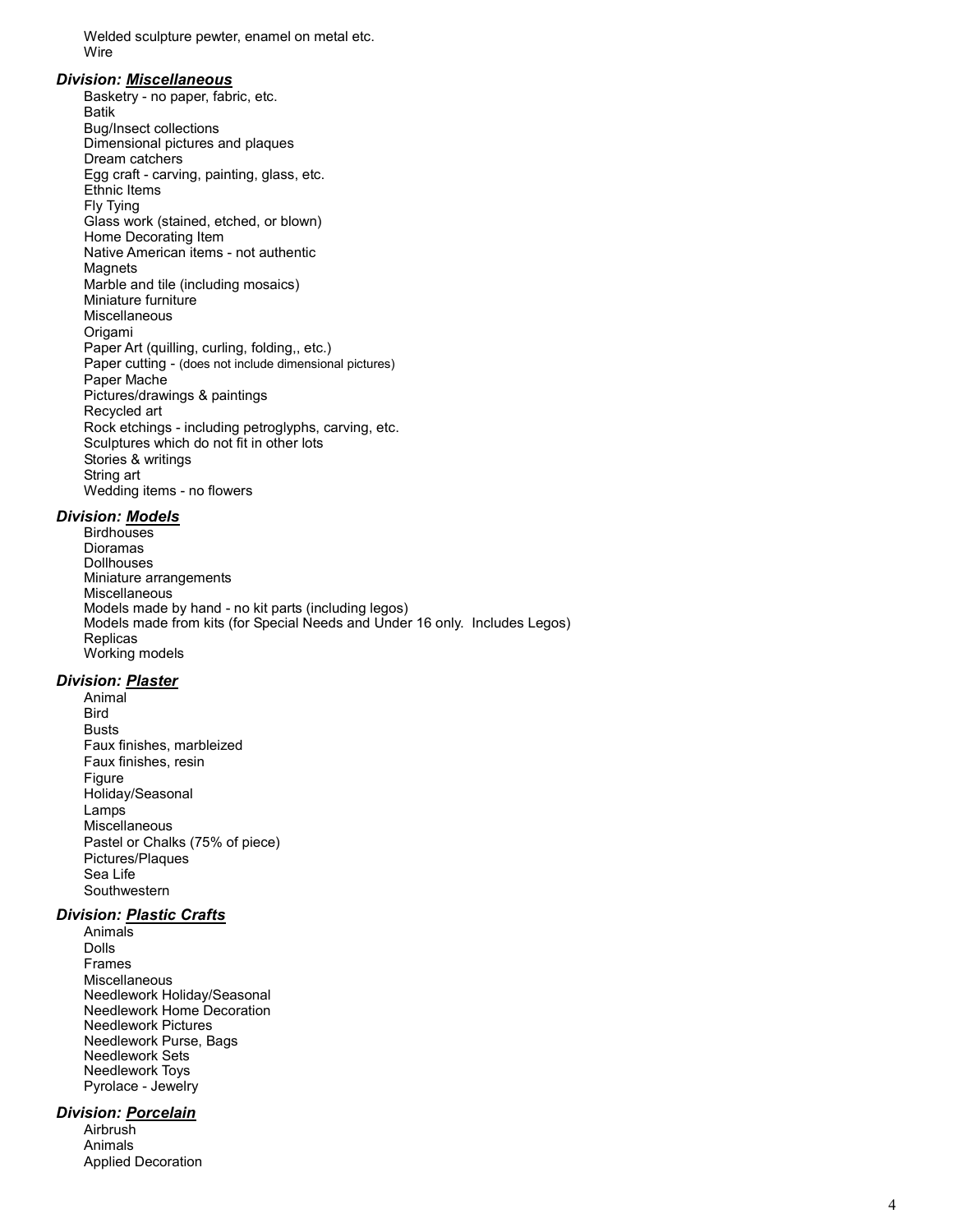Welded sculpture pewter, enamel on metal etc. Wire

#### Division: Miscellaneous

 Basketry - no paper, fabric, etc. Batik Bug/Insect collections Dimensional pictures and plaques Dream catchers Egg craft - carving, painting, glass, etc. Ethnic Items Fly Tying Glass work (stained, etched, or blown) Home Decorating Item Native American items - not authentic **Magnets**  Marble and tile (including mosaics) Miniature furniture Miscellaneous Origami Paper Art (quilling, curling, folding,, etc.) Paper cutting - (does not include dimensional pictures) Paper Mache Pictures/drawings & paintings Recycled art Rock etchings - including petroglyphs, carving, etc. Sculptures which do not fit in other lots Stories & writings String art Wedding items - no flowers

#### Division: Models

**Birdhouses**  Dioramas **Dollhouses**  Miniature arrangements Miscellaneous Models made by hand - no kit parts (including legos) Models made from kits (for Special Needs and Under 16 only. Includes Legos) Replicas Working models

## Division: Plaster

 Animal **Bird**  Busts Faux finishes, marbleized Faux finishes, resin Figure Holiday/Seasonal Lamps **Miscellaneous**  Pastel or Chalks (75% of piece) Pictures/Plaques Sea Life Southwestern

## Division: Plastic Crafts

 Animals Dolls Frames Miscellaneous Needlework Holiday/Seasonal Needlework Home Decoration Needlework Pictures Needlework Purse, Bags Needlework Sets Needlework Toys Pyrolace - Jewelry

## Division: Porcelain

 Airbrush Animals Applied Decoration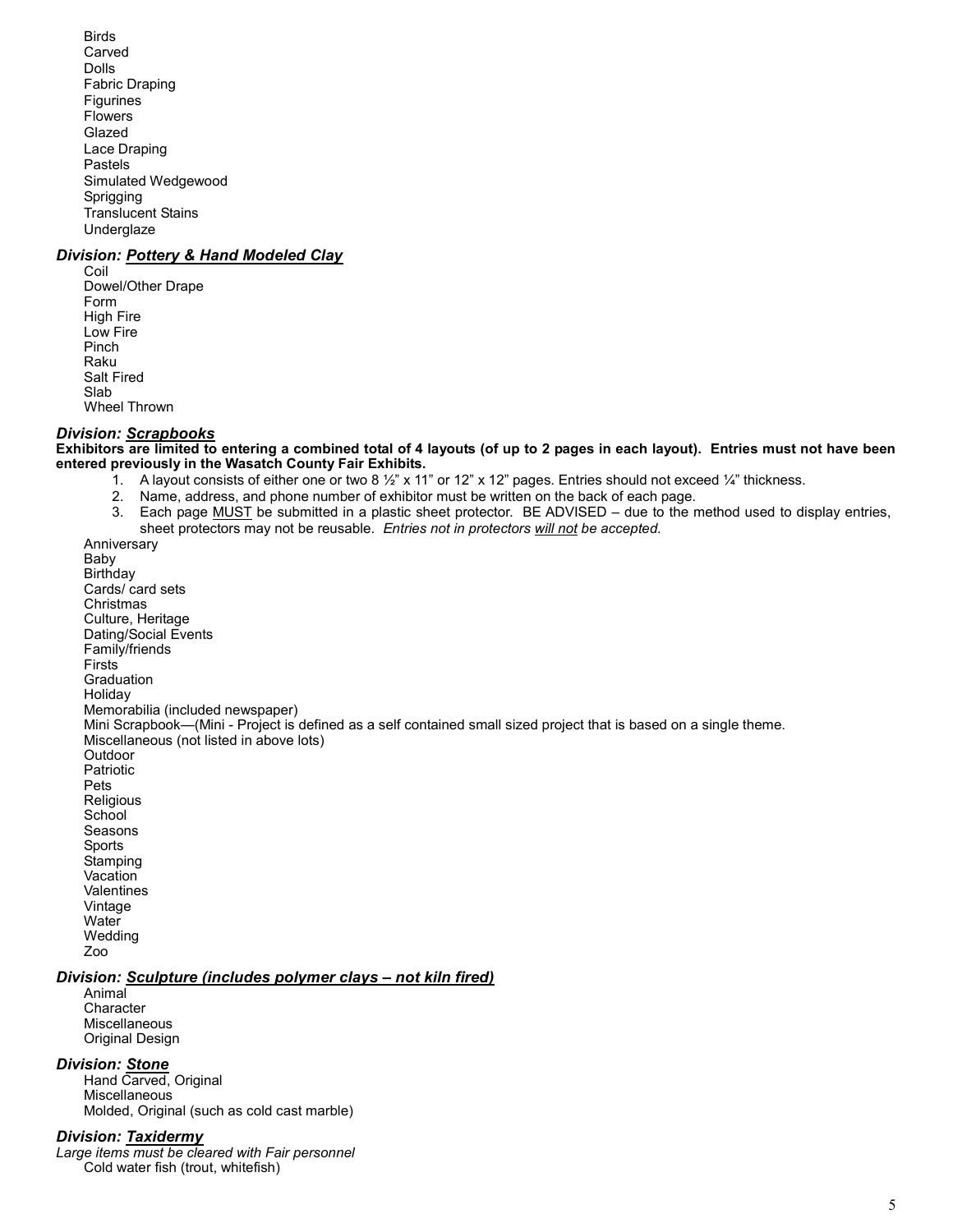Birds Carved Dolls Fabric Draping **Figurines**  Flowers Glazed Lace Draping Pastels Simulated Wedgewood Sprigging Translucent Stains **Underglaze** 

## Division: Pottery & Hand Modeled Clay

 Coil Dowel/Other Drape Form High Fire Low Fire Pinch Raku Salt Fired Slab Wheel Thrown

#### Division: Scrapbooks

Exhibitors are limited to entering a combined total of 4 layouts (of up to 2 pages in each layout). Entries must not have been entered previously in the Wasatch County Fair Exhibits.

- 1. A layout consists of either one or two 8 ½" x 11" or 12" x 12" pages. Entries should not exceed ¼" thickness.
	- 2. Name, address, and phone number of exhibitor must be written on the back of each page.
	- 3. Each page MUST be submitted in a plastic sheet protector. BE ADVISED due to the method used to display entries, sheet protectors may not be reusable. Entries not in protectors will not be accepted.

 Anniversary Baby **Birthday**  Cards/ card sets Christmas Culture, Heritage Dating/Social Events Family/friends **Firsts**  Graduation **Holiday**  Memorabilia (included newspaper) Mini Scrapbook—(Mini - Project is defined as a self contained small sized project that is based on a single theme. Miscellaneous (not listed in above lots) **Outdoor**  Patriotic Pets Religious **School**  Seasons Sports Stamping **Vacation**  Valentines Vintage **Water** Wedding

Zoo

#### Division: Sculpture (includes polymer clays – not kiln fired)

 Animal **Character Miscellaneous** Original Design

## Division: Stone

 Hand Carved, Original Miscellaneous Molded, Original (such as cold cast marble)

#### Division: Taxidermy

Large items must be cleared with Fair personnel Cold water fish (trout, whitefish)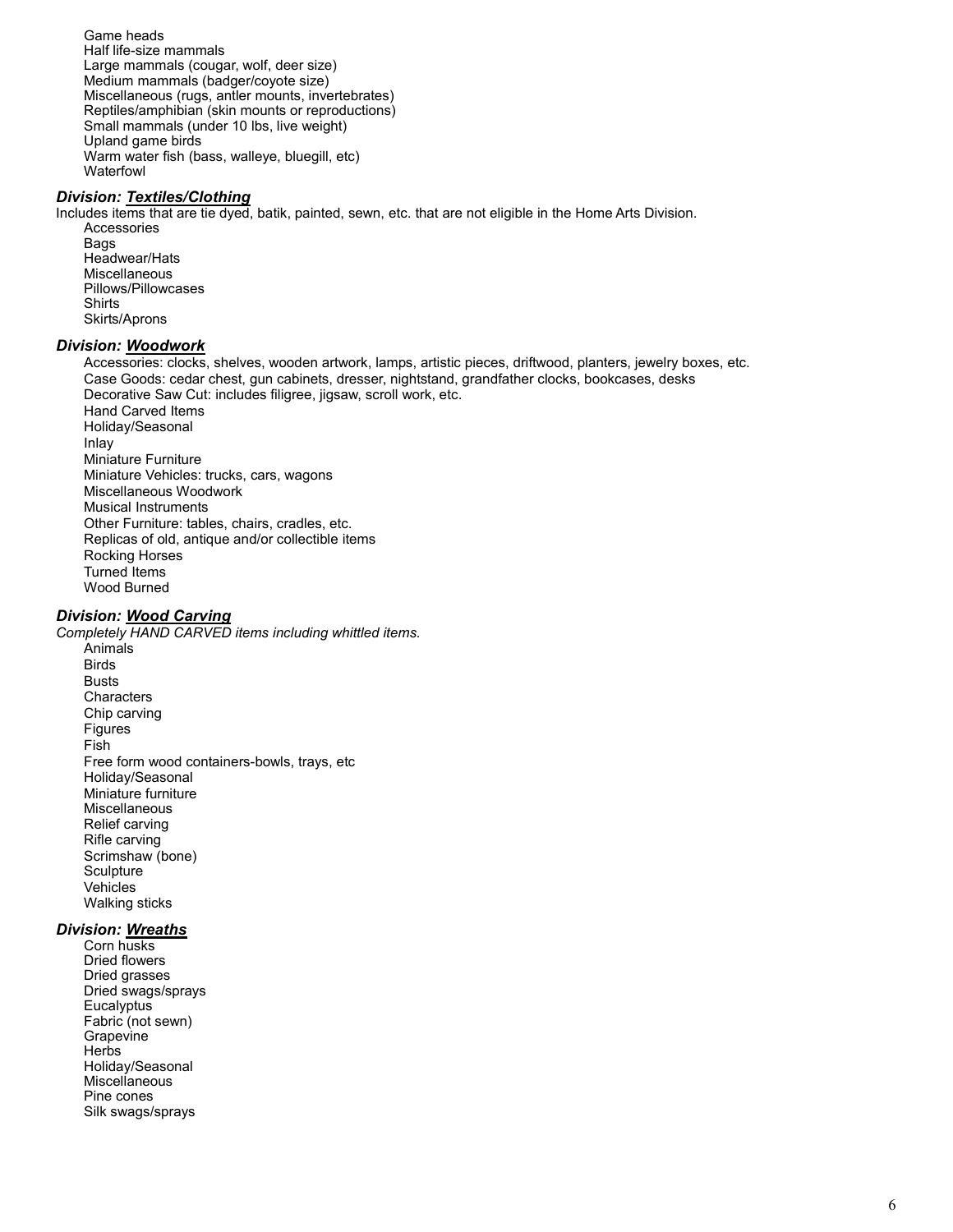Game heads Half life-size mammals Large mammals (cougar, wolf, deer size) Medium mammals (badger/coyote size) Miscellaneous (rugs, antler mounts, invertebrates) Reptiles/amphibian (skin mounts or reproductions) Small mammals (under 10 lbs, live weight) Upland game birds Warm water fish (bass, walleye, bluegill, etc) Waterfowl

## Division: Textiles/Clothing

Includes items that are tie dyed, batik, painted, sewn, etc. that are not eligible in the Home Arts Division. Accessories Bags Headwear/Hats Miscellaneous Pillows/Pillowcases

 Shirts Skirts/Aprons

## Division: Woodwork

 Accessories: clocks, shelves, wooden artwork, lamps, artistic pieces, driftwood, planters, jewelry boxes, etc. Case Goods: cedar chest, gun cabinets, dresser, nightstand, grandfather clocks, bookcases, desks Decorative Saw Cut: includes filigree, jigsaw, scroll work, etc. Hand Carved Items Holiday/Seasonal Inlay Miniature Furniture Miniature Vehicles: trucks, cars, wagons Miscellaneous Woodwork Musical Instruments Other Furniture: tables, chairs, cradles, etc. Replicas of old, antique and/or collectible items Rocking Horses Turned Items Wood Burned

## Division: Wood Carving

Completely HAND CARVED items including whittled items. Animals Birds **Busts Characters**  Chip carving Figures Fish Free form wood containers-bowls, trays, etc Holiday/Seasonal Miniature furniture Miscellaneous Relief carving Rifle carving Scrimshaw (bone) **Sculpture**  Vehicles Walking sticks

## Division: Wreaths

 Corn husks Dried flowers Dried grasses Dried swags/sprays **Eucalyptus**  Fabric (not sewn) **Grapevine Herbs**  Holiday/Seasonal **Miscellaneous**  Pine cones Silk swags/sprays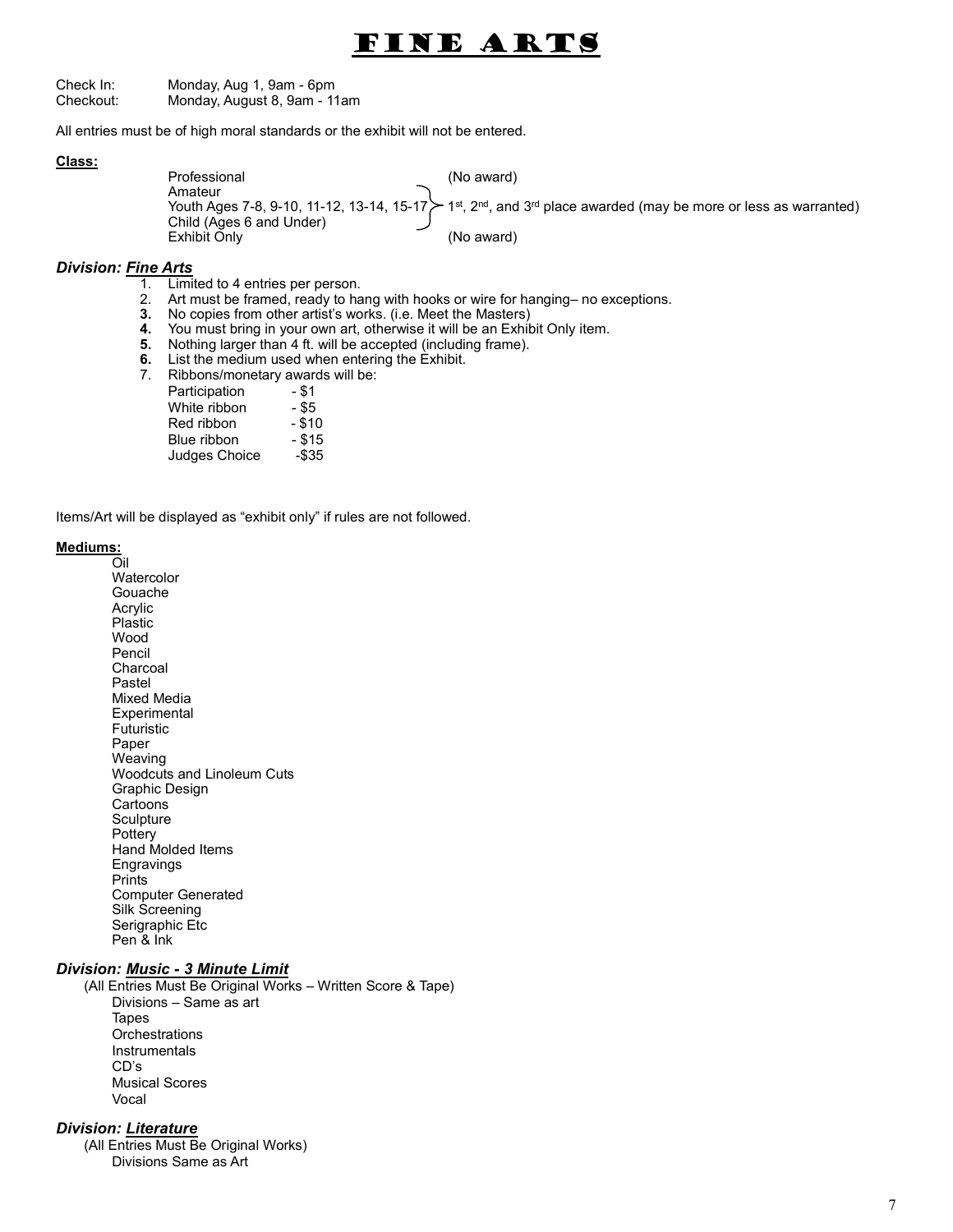# Fine Arts

Check In: Monday, Aug 1, 9am - 6pm Checkout: Monday, August 8, 9am - 11am

All entries must be of high moral standards or the exhibit will not be entered.

#### Class:

Professional (No award) Amateur Youth Ages 7-8, 9-10, 11-12, 13-14, 15-17 $\geq 1$ <sup>st</sup>, 2<sup>nd</sup>, and 3<sup>rd</sup> place awarded (may be more or less as warranted) Child (Ages 6 and Under) Exhibit Only (No award)

#### Division: Fine Arts

- 1. Limited to 4 entries per person.
- 2. Art must be framed, ready to hang with hooks or wire for hanging– no exceptions.
- 3. No copies from other artist's works. (i.e. Meet the Masters)
- 4. You must bring in your own art, otherwise it will be an Exhibit Only item.
- 5. Nothing larger than 4 ft. will be accepted (including frame).
- **6.** List the medium used when entering the Exhibit.
- 7. Ribbons/monetary awards will be:
	- Participation \$1 White ribbon - \$5
		-
		- Red ribbon \$10
		- Blue ribbon \$15
	- Judges Choice -\$35

Items/Art will be displayed as "exhibit only" if rules are not followed.

#### Mediums:

Oil Watercolor Gouache Acrylic Plastic Wood Pencil Charcoal Pastel Mixed Media **Experimental** Futuristic Paper Weaving Woodcuts and Linoleum Cuts Graphic Design **Cartoons Sculpture Pottery** Hand Molded Items Engravings **Prints** Computer Generated Silk Screening Serigraphic Etc Pen & Ink

#### Division: Music - 3 Minute Limit

(All Entries Must Be Original Works – Written Score & Tape) Divisions – Same as art Tapes **Orchestrations Instrumentals** CD's Musical Scores Vocal

## Division: Literature

(All Entries Must Be Original Works) Divisions Same as Art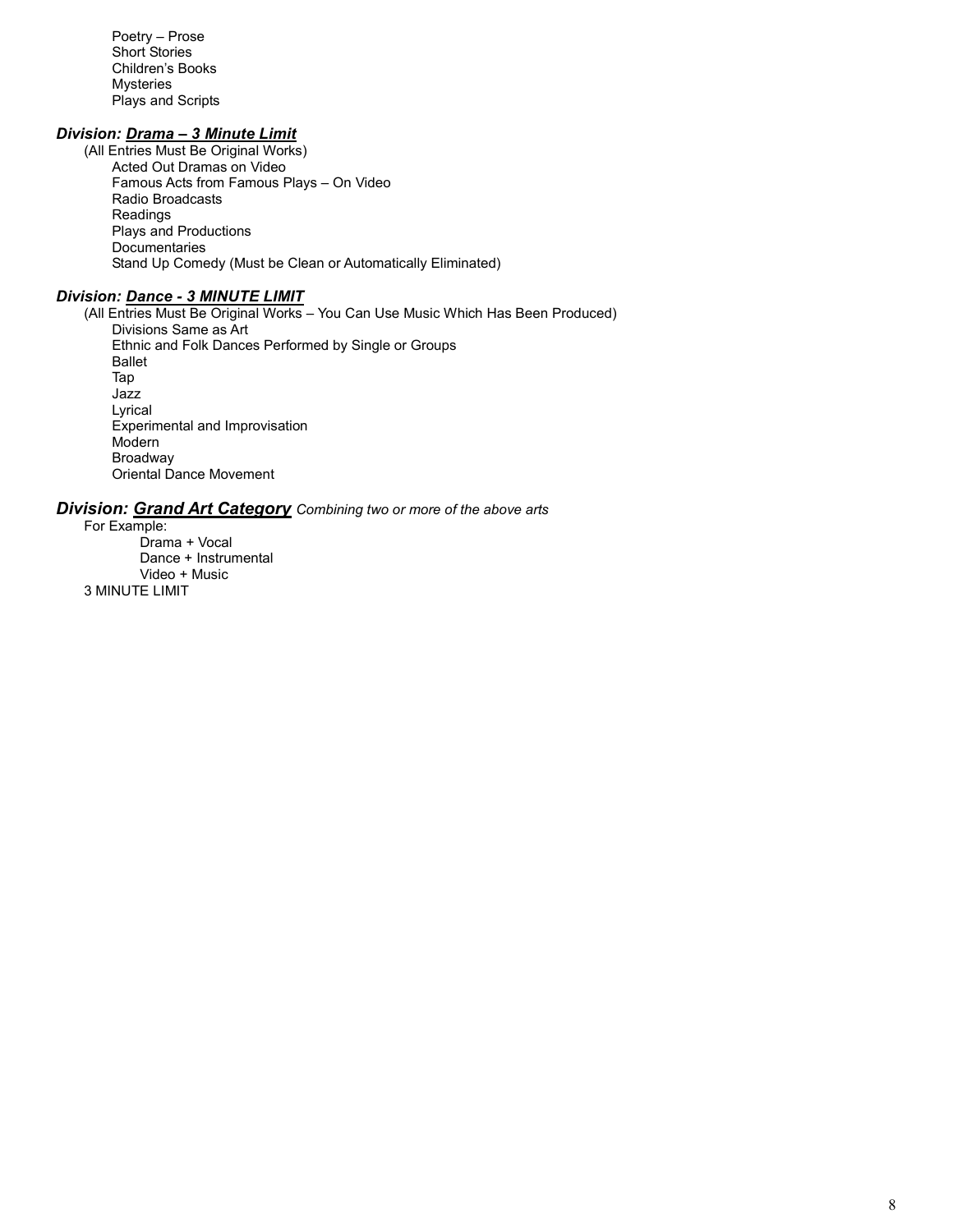Poetry – Prose Short Stories Children's Books Mysteries Plays and Scripts

## Division: Drama - 3 Minute Limit

(All Entries Must Be Original Works) Acted Out Dramas on Video Famous Acts from Famous Plays – On Video Radio Broadcasts Readings Plays and Productions **Documentaries** Stand Up Comedy (Must be Clean or Automatically Eliminated)

## Division: Dance - 3 MINUTE LIMIT

(All Entries Must Be Original Works – You Can Use Music Which Has Been Produced) Divisions Same as Art Ethnic and Folk Dances Performed by Single or Groups Ballet Tap Jazz Lyrical Experimental and Improvisation Modern Broadway Oriental Dance Movement

## **Division: Grand Art Category** Combining two or more of the above arts

For Example: Drama + Vocal Dance + Instrumental Video + Music 3 MINUTE LIMIT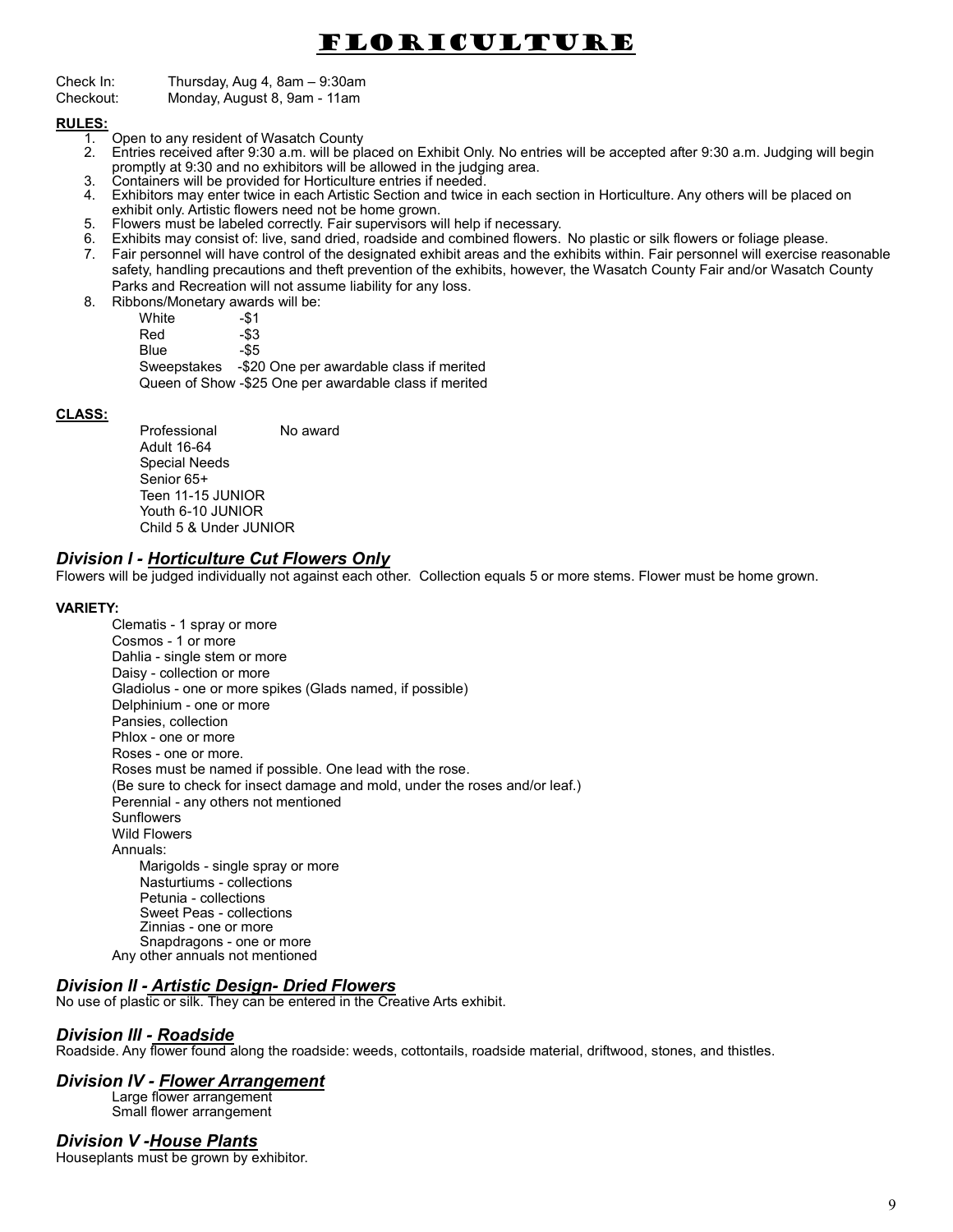# Floriculture

Check In: Thursday, Aug 4, 8am – 9:30am

Checkout: Monday, August 8, 9am - 11am

#### RULES:

- 1. Open to any resident of Wasatch County<br>2. Entries received after 9:30 a.m. will be pla
- 2. Entries received after 9:30 a.m. will be placed on Exhibit Only. No entries will be accepted after 9:30 a.m. Judging will begin promptly at 9:30 and no exhibitors will be allowed in the judging area.
- 3. Containers will be provided for Horticulture entries if needed.
- 4. Exhibitors may enter twice in each Artistic Section and twice in each section in Horticulture. Any others will be placed on exhibit only. Artistic flowers need not be home grown.
- 5. Flowers must be labeled correctly. Fair supervisors will help if necessary.
- 6. Exhibits may consist of: live, sand dried, roadside and combined flowers. No plastic or silk flowers or foliage please.
- 7. Fair personnel will have control of the designated exhibit areas and the exhibits within. Fair personnel will exercise reasonable safety, handling precautions and theft prevention of the exhibits, however, the Wasatch County Fair and/or Wasatch County Parks and Recreation will not assume liability for any loss.
- 8. Ribbons/Monetary awards will be:<br>White -\$1

White -\$1<br>Red -\$3 Red -\$3<br>Blue -\$5 **Blue**  Sweepstakes -\$20 One per awardable class if merited Queen of Show -\$25 One per awardable class if merited

## CLASS:

Professional No award Adult 16-64 Special Needs Senior 65+ Teen 11-15 JUNIOR Youth 6-10 JUNIOR Child 5 & Under JUNIOR

## Division l - Horticulture Cut Flowers Only

Flowers will be judged individually not against each other. Collection equals 5 or more stems. Flower must be home grown.

#### VARIETY:

Clematis - 1 spray or more Cosmos - 1 or more Dahlia - single stem or more Daisy - collection or more Gladiolus - one or more spikes (Glads named, if possible) Delphinium - one or more Pansies, collection Phlox - one or more Roses - one or more. Roses must be named if possible. One lead with the rose. (Be sure to check for insect damage and mold, under the roses and/or leaf.) Perennial - any others not mentioned **Sunflowers**  Wild Flowers Annuals: Marigolds - single spray or more Nasturtiums - collections Petunia - collections Sweet Peas - collections Zinnias - one or more Snapdragons - one or more Any other annuals not mentioned

## Division ll - Artistic Design- Dried Flowers

No use of plastic or silk. They can be entered in the Creative Arts exhibit.

## Division Ill - Roadside

Roadside. Any flower found along the roadside: weeds, cottontails, roadside material, driftwood, stones, and thistles.

## Division IV - **Flower Arrangement**

Large flower arrangement Small flower arrangement

## Division V -House Plants

Houseplants must be grown by exhibitor.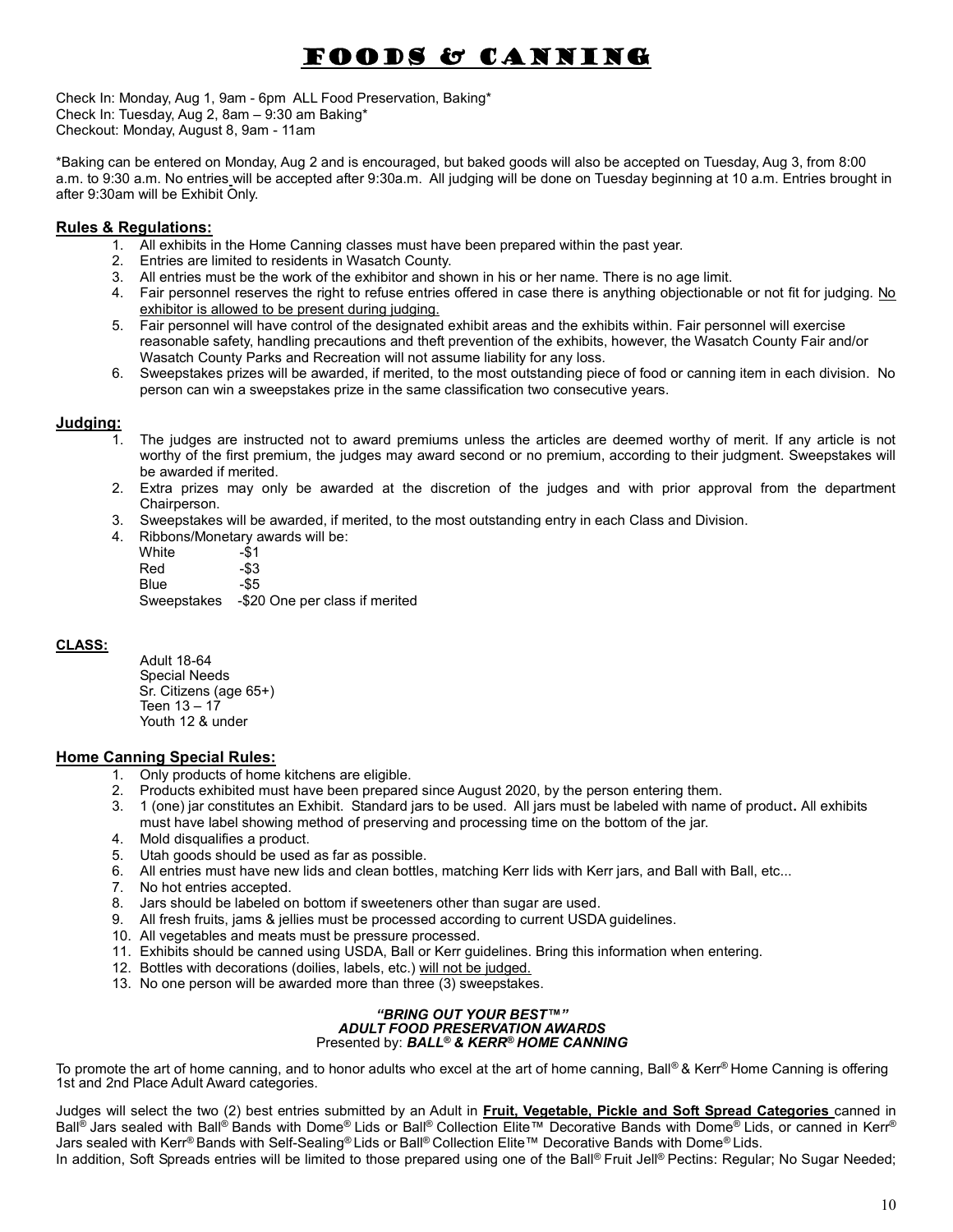# Foods & Canning

Check In: Monday, Aug 1, 9am - 6pm ALL Food Preservation, Baking\* Check In: Tuesday, Aug 2, 8am – 9:30 am Baking\* Checkout: Monday, August 8, 9am - 11am

\*Baking can be entered on Monday, Aug 2 and is encouraged, but baked goods will also be accepted on Tuesday, Aug 3, from 8:00 a.m. to 9:30 a.m. No entries will be accepted after 9:30a.m. All judging will be done on Tuesday beginning at 10 a.m. Entries brought in after 9:30am will be Exhibit Only.

## Rules & Regulations:

- 1. All exhibits in the Home Canning classes must have been prepared within the past year.
- 2. Entries are limited to residents in Wasatch County.
- 3. All entries must be the work of the exhibitor and shown in his or her name. There is no age limit.
- 4. Fair personnel reserves the right to refuse entries offered in case there is anything objectionable or not fit for judging. No exhibitor is allowed to be present during judging.
- 5. Fair personnel will have control of the designated exhibit areas and the exhibits within. Fair personnel will exercise reasonable safety, handling precautions and theft prevention of the exhibits, however, the Wasatch County Fair and/or Wasatch County Parks and Recreation will not assume liability for any loss.
- 6. Sweepstakes prizes will be awarded, if merited, to the most outstanding piece of food or canning item in each division. No person can win a sweepstakes prize in the same classification two consecutive years.

## Judging:

- The judges are instructed not to award premiums unless the articles are deemed worthy of merit. If any article is not worthy of the first premium, the judges may award second or no premium, according to their judgment. Sweepstakes will be awarded if merited.
- 2. Extra prizes may only be awarded at the discretion of the judges and with prior approval from the department Chairperson.
- 3. Sweepstakes will be awarded, if merited, to the most outstanding entry in each Class and Division.
- 4. Ribbons/Monetary awards will be: White -\$1 Red -\$3 Blue -\$5

Sweepstakes -\$20 One per class if merited

## CLASS:

Adult 18-64 Special Needs Sr. Citizens (age 65+) Teen 13 – 17 Youth 12 & under

## Home Canning Special Rules:

- 1. Only products of home kitchens are eligible.
- 2. Products exhibited must have been prepared since August 2020, by the person entering them.<br>3. 1 (one) jar constitutes an Exhibit. Standard jars to be used. All jars must be labeled with name
- 3. 1 (one) jar constitutes an Exhibit. Standard jars to be used. All jars must be labeled with name of product. All exhibits must have label showing method of preserving and processing time on the bottom of the jar.
- 4. Mold disqualifies a product.
- 5. Utah goods should be used as far as possible.
- 6. All entries must have new lids and clean bottles, matching Kerr lids with Kerr jars, and Ball with Ball, etc...
- 7. No hot entries accepted.
- 8. Jars should be labeled on bottom if sweeteners other than sugar are used.
- 9. All fresh fruits, jams & jellies must be processed according to current USDA guidelines.
- 10. All vegetables and meats must be pressure processed.
- 11. Exhibits should be canned using USDA, Ball or Kerr guidelines. Bring this information when entering.
- 12. Bottles with decorations (doilies, labels, etc.) will not be judged.
- 13. No one person will be awarded more than three (3) sweepstakes.

#### "BRING OUT YOUR BEST™" ADULT FOOD PRESERVATION AWARDS Presented by: BALL® & KERR® HOME CANNING

To promote the art of home canning, and to honor adults who excel at the art of home canning, Ball® & Kerr® Home Canning is offering 1st and 2nd Place Adult Award categories.

Judges will select the two (2) best entries submitted by an Adult in Fruit, Vegetable, Pickle and Soft Spread Categories canned in Ball<sup>®</sup> Jars sealed with Ball<sup>®</sup> Bands with Dome® Lids or Ball® Collection Elite™ Decorative Bands with Dome® Lids, or canned in Kerr® Jars sealed with Kerr® Bands with Self-Sealing® Lids or Ball® Collection Elite™ Decorative Bands with Dome® Lids. In addition, Soft Spreads entries will be limited to those prepared using one of the Ball® Fruit Jell® Pectins: Regular; No Sugar Needed;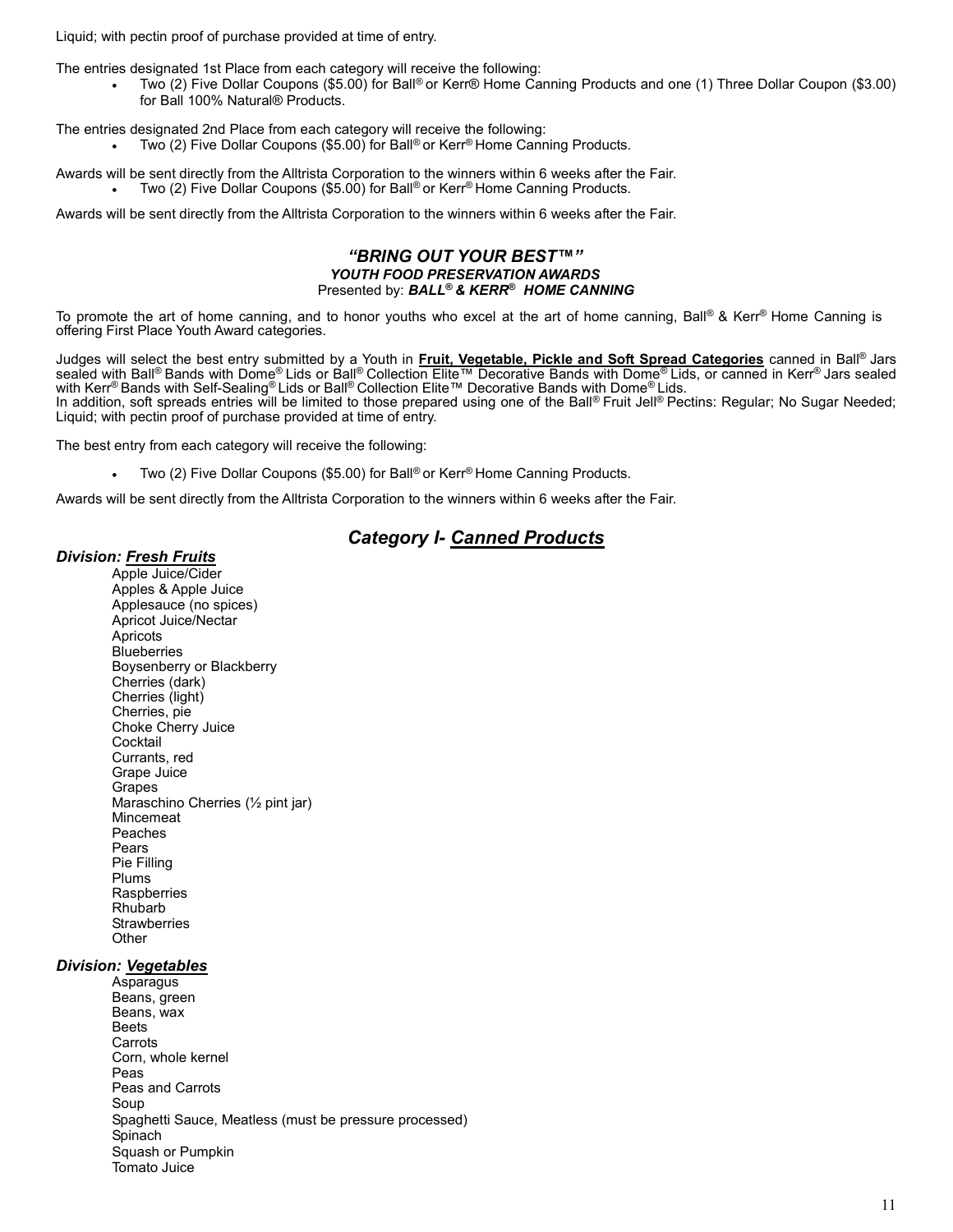Liquid; with pectin proof of purchase provided at time of entry.

The entries designated 1st Place from each category will receive the following:

 Two (2) Five Dollar Coupons (\$5.00) for Ball® or Kerr® Home Canning Products and one (1) Three Dollar Coupon (\$3.00) for Ball 100% Natural® Products.

The entries designated 2nd Place from each category will receive the following:

Two (2) Five Dollar Coupons (\$5.00) for Ball® or Kerr® Home Canning Products.

Awards will be sent directly from the Alltrista Corporation to the winners within 6 weeks after the Fair. Two (2) Five Dollar Coupons (\$5.00) for Ball® or Kerr® Home Canning Products.

Awards will be sent directly from the Alltrista Corporation to the winners within 6 weeks after the Fair.

#### "BRING OUT YOUR BEST™" YOUTH FOOD PRESERVATION AWARDS Presented by: BALL® & KERR® HOME CANNING

To promote the art of home canning, and to honor youths who excel at the art of home canning, Ball® & Kerr® Home Canning is offering First Place Youth Award categories.

Judges will select the best entry submitted by a Youth in Fruit, Vegetable, Pickle and Soft Spread Categories canned in Ball® Jars sealed with Ball® Bands with Dome® Lids or Ball® Collection Elite™ Decorative Bands with Dome® Lids, or canned in Kerr® Jars sealed with Kerr® Bands with Self-Sealing® Lids or Ball® Collection Elite™ Decorative Bands with Dome® Lids. In addition, soft spreads entries will be limited to those prepared using one of the Ball® Fruit Jell® Pectins: Regular; No Sugar Needed; Liquid; with pectin proof of purchase provided at time of entry.

The best entry from each category will receive the following:

Two (2) Five Dollar Coupons (\$5.00) for Ball® or Kerr® Home Canning Products.

Awards will be sent directly from the Alltrista Corporation to the winners within 6 weeks after the Fair.

## **Category I- Canned Products**

#### Division: Fresh Fruits

 Apple Juice/Cider Apples & Apple Juice Applesauce (no spices) Apricot Juice/Nectar **Apricots Blueberries** Boysenberry or Blackberry Cherries (dark) Cherries (light) Cherries, pie Choke Cherry Juice **Cocktail** Currants, red Grape Juice Grapes Maraschino Cherries (½ pint jar) Mincemeat Peaches Pears Pie Filling Plums **Raspberries** Rhubarb **Strawberries Other** 

## Division: Vegetables

 Asparagus Beans, green Beans, wax Beets **Carrots** Corn, whole kernel Peas Peas and Carrots Soup Spaghetti Sauce, Meatless (must be pressure processed) Spinach Squash or Pumpkin Tomato Juice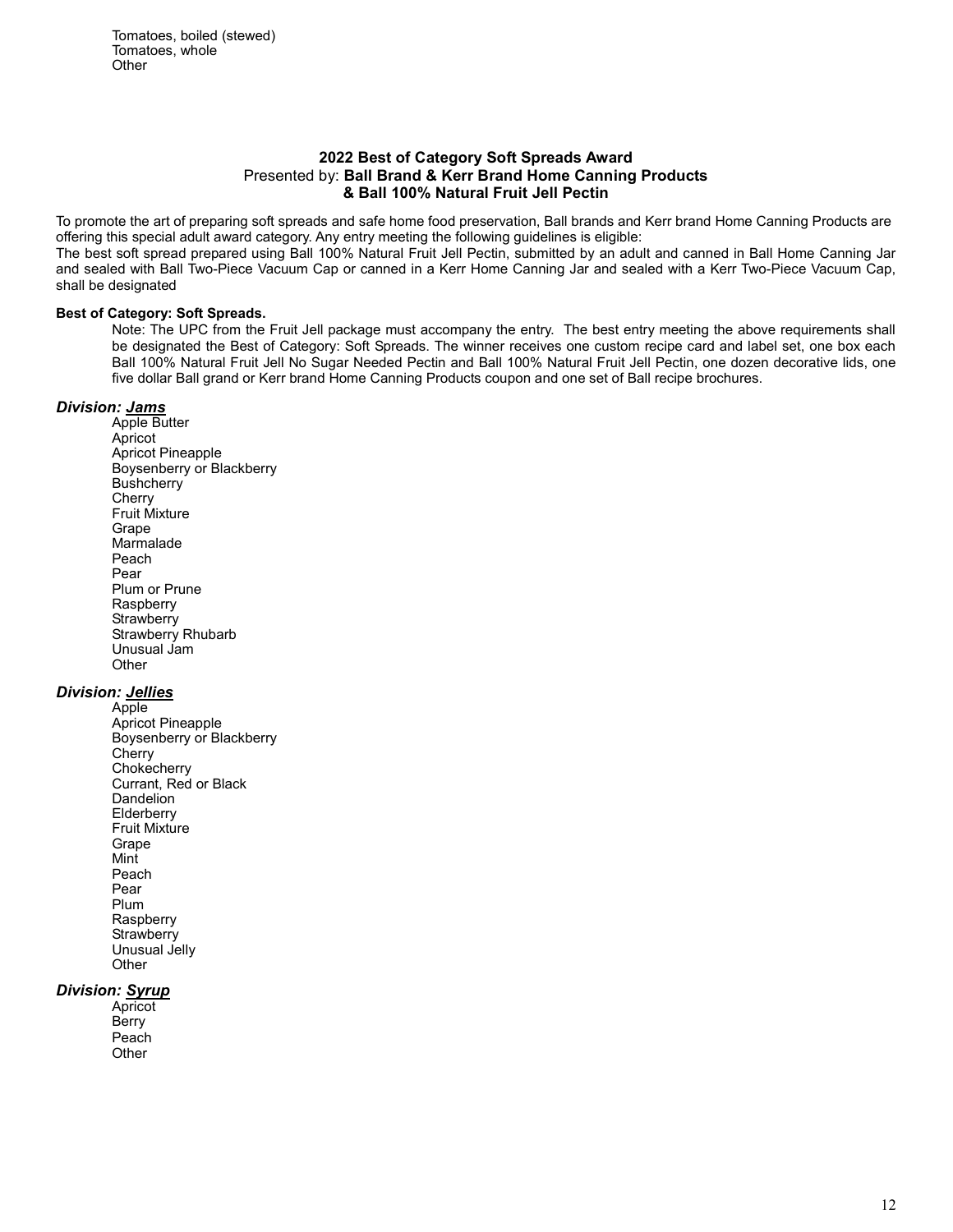#### 2022 Best of Category Soft Spreads Award Presented by: Ball Brand & Kerr Brand Home Canning Products & Ball 100% Natural Fruit Jell Pectin

To promote the art of preparing soft spreads and safe home food preservation, Ball brands and Kerr brand Home Canning Products are offering this special adult award category. Any entry meeting the following guidelines is eligible:

The best soft spread prepared using Ball 100% Natural Fruit Jell Pectin, submitted by an adult and canned in Ball Home Canning Jar and sealed with Ball Two-Piece Vacuum Cap or canned in a Kerr Home Canning Jar and sealed with a Kerr Two-Piece Vacuum Cap, shall be designated

#### Best of Category: Soft Spreads.

Note: The UPC from the Fruit Jell package must accompany the entry. The best entry meeting the above requirements shall be designated the Best of Category: Soft Spreads. The winner receives one custom recipe card and label set, one box each Ball 100% Natural Fruit Jell No Sugar Needed Pectin and Ball 100% Natural Fruit Jell Pectin, one dozen decorative lids, one five dollar Ball grand or Kerr brand Home Canning Products coupon and one set of Ball recipe brochures.

## Division: Jams

Apple Butter Apricot Apricot Pineapple Boysenberry or Blackberry **Bushcherry Cherry** Fruit Mixture Grape Marmalade Peach Pear Plum or Prune **Raspberry Strawberry** Strawberry Rhubarb Unusual Jam **Other** 

## Division: Jellies

 Apple Apricot Pineapple Boysenberry or Blackberry **Cherry Chokecherry** Currant, Red or Black Dandelion **Elderberry** Fruit Mixture Grape Mint Peach Pear Plum **Raspberry Strawberry** Unusual Jelly **Other** 

## Division: Syrup

**Apricot Berry** Peach **Other**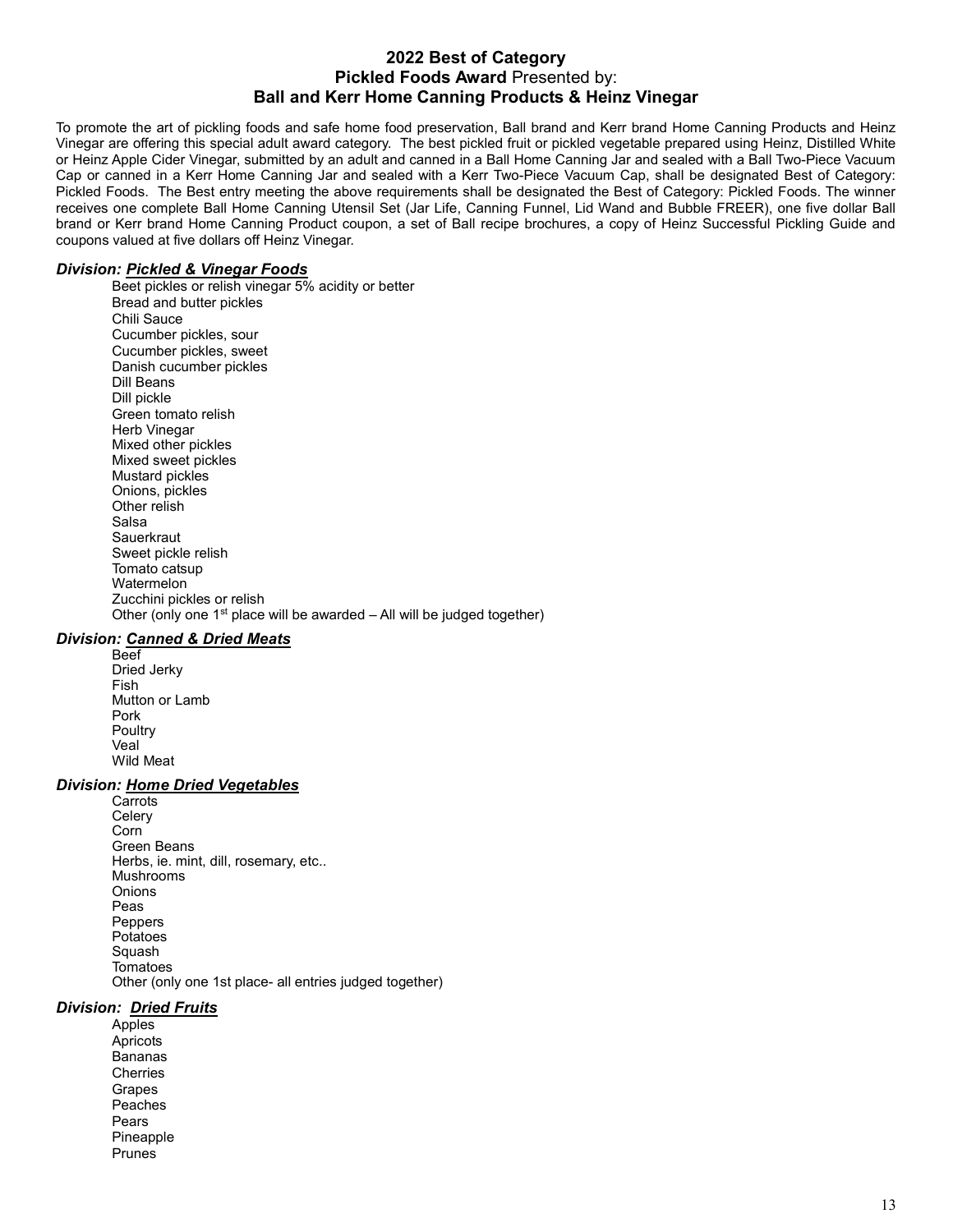## 2022 Best of Category Pickled Foods Award Presented by: Ball and Kerr Home Canning Products & Heinz Vinegar

To promote the art of pickling foods and safe home food preservation, Ball brand and Kerr brand Home Canning Products and Heinz Vinegar are offering this special adult award category. The best pickled fruit or pickled vegetable prepared using Heinz, Distilled White or Heinz Apple Cider Vinegar, submitted by an adult and canned in a Ball Home Canning Jar and sealed with a Ball Two-Piece Vacuum Cap or canned in a Kerr Home Canning Jar and sealed with a Kerr Two-Piece Vacuum Cap, shall be designated Best of Category: Pickled Foods. The Best entry meeting the above requirements shall be designated the Best of Category: Pickled Foods. The winner receives one complete Ball Home Canning Utensil Set (Jar Life, Canning Funnel, Lid Wand and Bubble FREER), one five dollar Ball brand or Kerr brand Home Canning Product coupon, a set of Ball recipe brochures, a copy of Heinz Successful Pickling Guide and coupons valued at five dollars off Heinz Vinegar.

#### Division: Pickled & Vinegar Foods

 Beet pickles or relish vinegar 5% acidity or better Bread and butter pickles Chili Sauce Cucumber pickles, sour Cucumber pickles, sweet Danish cucumber pickles Dill Beans Dill pickle Green tomato relish Herb Vinegar Mixed other pickles Mixed sweet pickles Mustard pickles Onions, pickles Other relish Salsa **Sauerkraut** Sweet pickle relish Tomato catsup Watermelon Zucchini pickles or relish Other (only one  $1<sup>st</sup>$  place will be awarded – All will be judged together)

#### Division: Canned & Dried Meats

Beef Dried Jerky Fish Mutton or Lamb Pork **Poultry** Veal Wild Meat

#### Division: Home Dried Vegetables

**Carrots Celery** Corn Green Beans Herbs, ie. mint, dill, rosemary, etc.. Mushrooms **Onions** Peas **Peppers** Potatoes Squash **Tomatoes** Other (only one 1st place- all entries judged together)

#### Division: Dried Fruits

**Apples** Apricots Bananas **Cherries** Grapes Peaches Pears Pineapple Prunes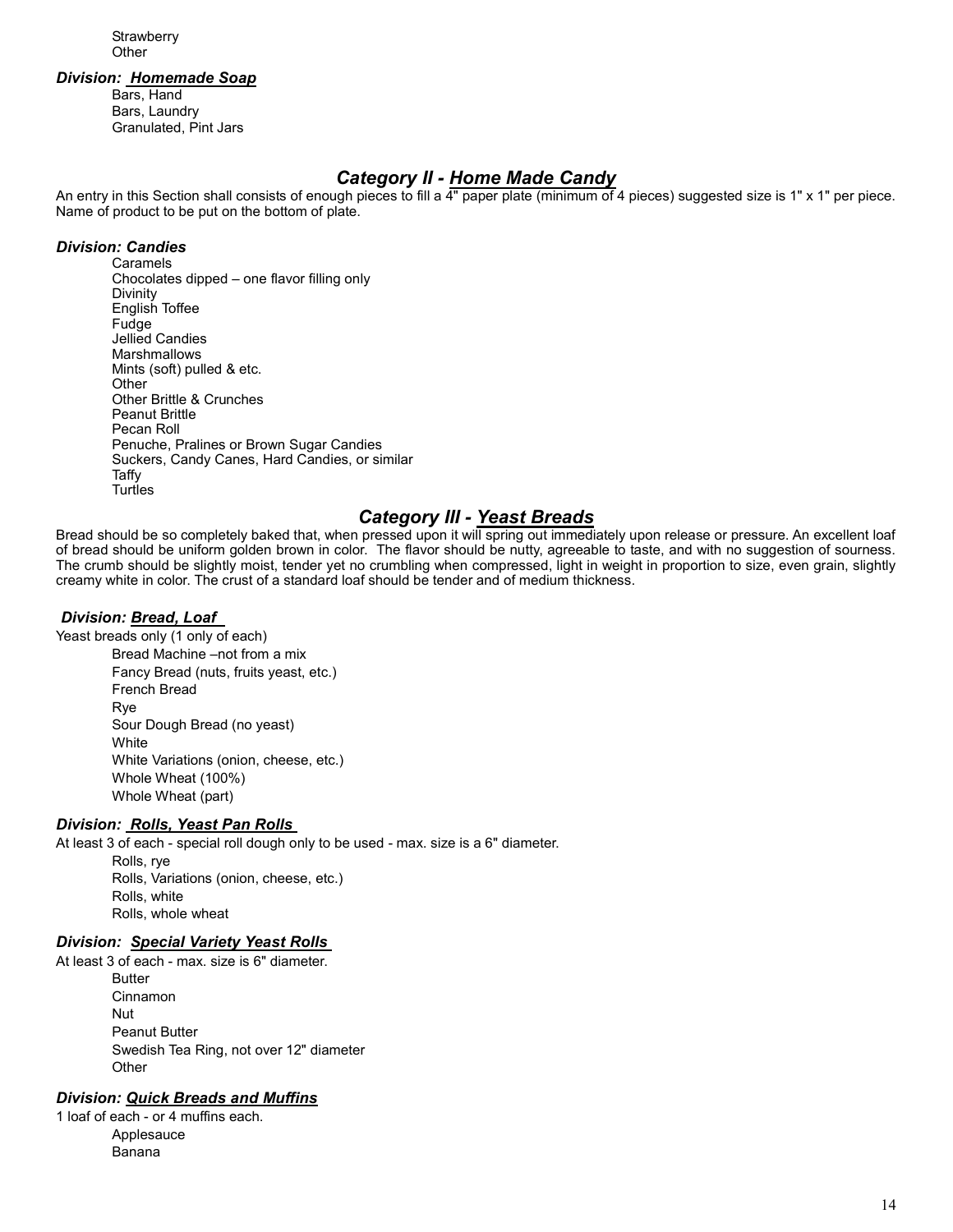**Strawberry Other** 

#### Division: Homemade Soap

Bars, Hand Bars, Laundry Granulated, Pint Jars

# Category II - Home Made Candy

An entry in this Section shall consists of enough pieces to fill a 4" paper plate (minimum of 4 pieces) suggested size is 1" x 1" per piece. Name of product to be put on the bottom of plate.

## Division: Candies

Caramels Chocolates dipped – one flavor filling only Divinity English Toffee Fudge Jellied Candies Marshmallows Mints (soft) pulled & etc. **Other** Other Brittle & Crunches Peanut Brittle Pecan Roll Penuche, Pralines or Brown Sugar Candies Suckers, Candy Canes, Hard Candies, or similar Taffy **Turtles** 

## **Category III - Yeast Breads**

Bread should be so completely baked that, when pressed upon it will spring out immediately upon release or pressure. An excellent loaf of bread should be uniform golden brown in color. The flavor should be nutty, agreeable to taste, and with no suggestion of sourness. The crumb should be slightly moist, tender yet no crumbling when compressed, light in weight in proportion to size, even grain, slightly creamy white in color. The crust of a standard loaf should be tender and of medium thickness.

## Division: Bread, Loaf

Yeast breads only (1 only of each)

Bread Machine –not from a mix Fancy Bread (nuts, fruits yeast, etc.) French Bread Rye Sour Dough Bread (no yeast) **White** White Variations (onion, cheese, etc.) Whole Wheat (100%) Whole Wheat (part)

## Division: Rolls, Yeast Pan Rolls

At least 3 of each - special roll dough only to be used - max. size is a 6" diameter.

Rolls, rye Rolls, Variations (onion, cheese, etc.) Rolls, white Rolls, whole wheat

## Division: Special Variety Yeast Rolls

At least 3 of each - max. size is 6" diameter. **Butter** Cinnamon Nut Peanut Butter Swedish Tea Ring, not over 12" diameter **Other** 

## Division: Quick Breads and Muffins

1 loaf of each - or 4 muffins each. Applesauce Banana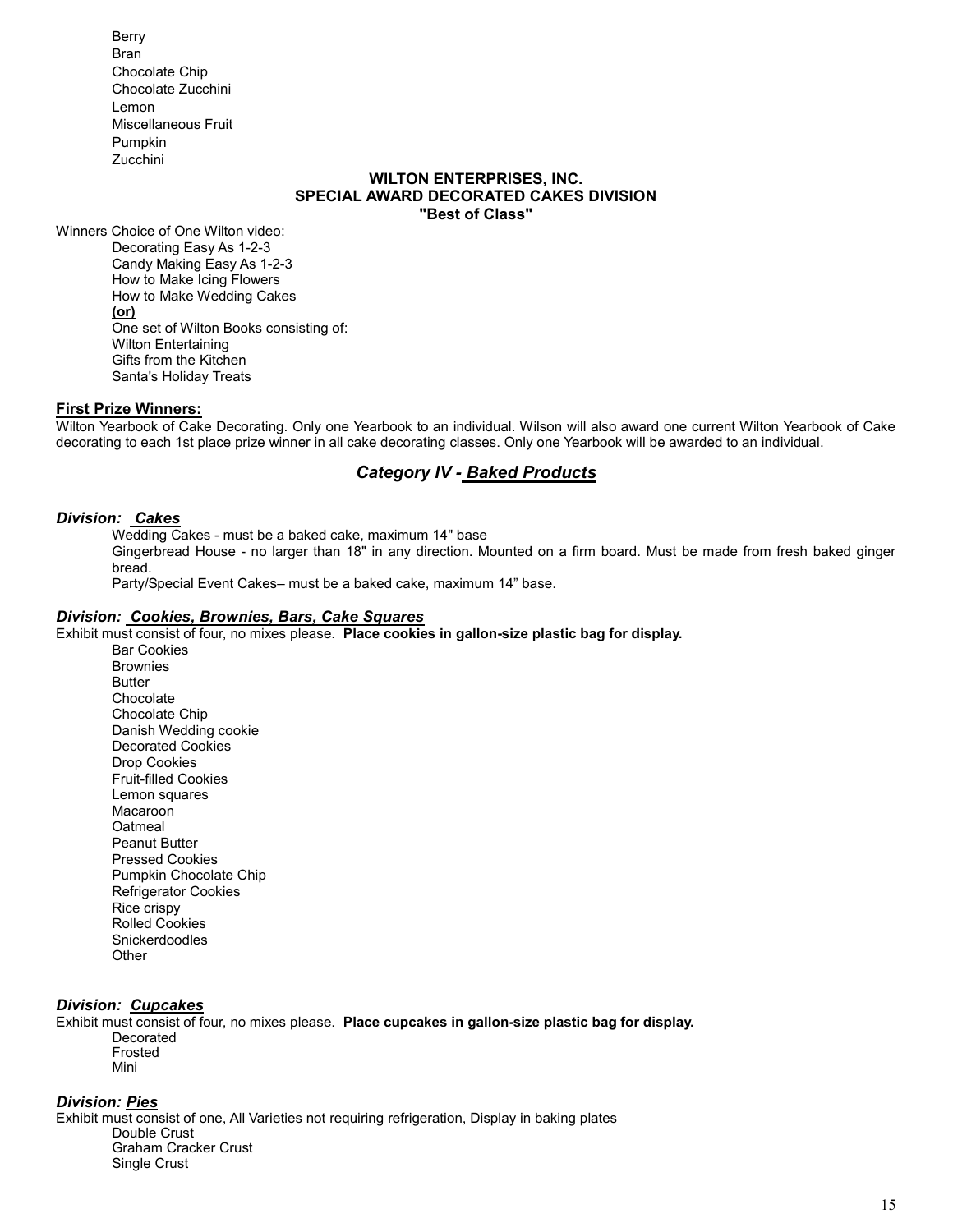Berry Bran Chocolate Chip Chocolate Zucchini Lemon Miscellaneous Fruit Pumpkin Zucchini

#### WILTON ENTERPRISES, INC. SPECIAL AWARD DECORATED CAKES DIVISION "Best of Class"

Winners Choice of One Wilton video: Decorating Easy As 1-2-3 Candy Making Easy As 1-2-3 How to Make Icing Flowers How to Make Wedding Cakes (or) One set of Wilton Books consisting of: Wilton Entertaining Gifts from the Kitchen Santa's Holiday Treats

#### First Prize Winners:

Wilton Yearbook of Cake Decorating. Only one Yearbook to an individual. Wilson will also award one current Wilton Yearbook of Cake decorating to each 1st place prize winner in all cake decorating classes. Only one Yearbook will be awarded to an individual.

## Category IV - Baked Products

#### Division: Cakes

Wedding Cakes - must be a baked cake, maximum 14" base

Gingerbread House - no larger than 18" in any direction. Mounted on a firm board. Must be made from fresh baked ginger bread.

Party/Special Event Cakes– must be a baked cake, maximum 14" base.

#### Division: Cookies, Brownies, Bars, Cake Squares

Exhibit must consist of four, no mixes please. Place cookies in gallon-size plastic bag for display.

Bar Cookies **Brownies Butter** Chocolate Chocolate Chip Danish Wedding cookie Decorated Cookies Drop Cookies Fruit-filled Cookies Lemon squares Macaroon **Oatmeal** Peanut Butter Pressed Cookies Pumpkin Chocolate Chip Refrigerator Cookies Rice crispy Rolled Cookies Snickerdoodles **Other** 

#### Division: Cupcakes

Exhibit must consist of four, no mixes please. Place cupcakes in gallon-size plastic bag for display. Decorated Frosted Mini

## Division: Pies

Exhibit must consist of one, All Varieties not requiring refrigeration, Display in baking plates Double Crust Graham Cracker Crust Single Crust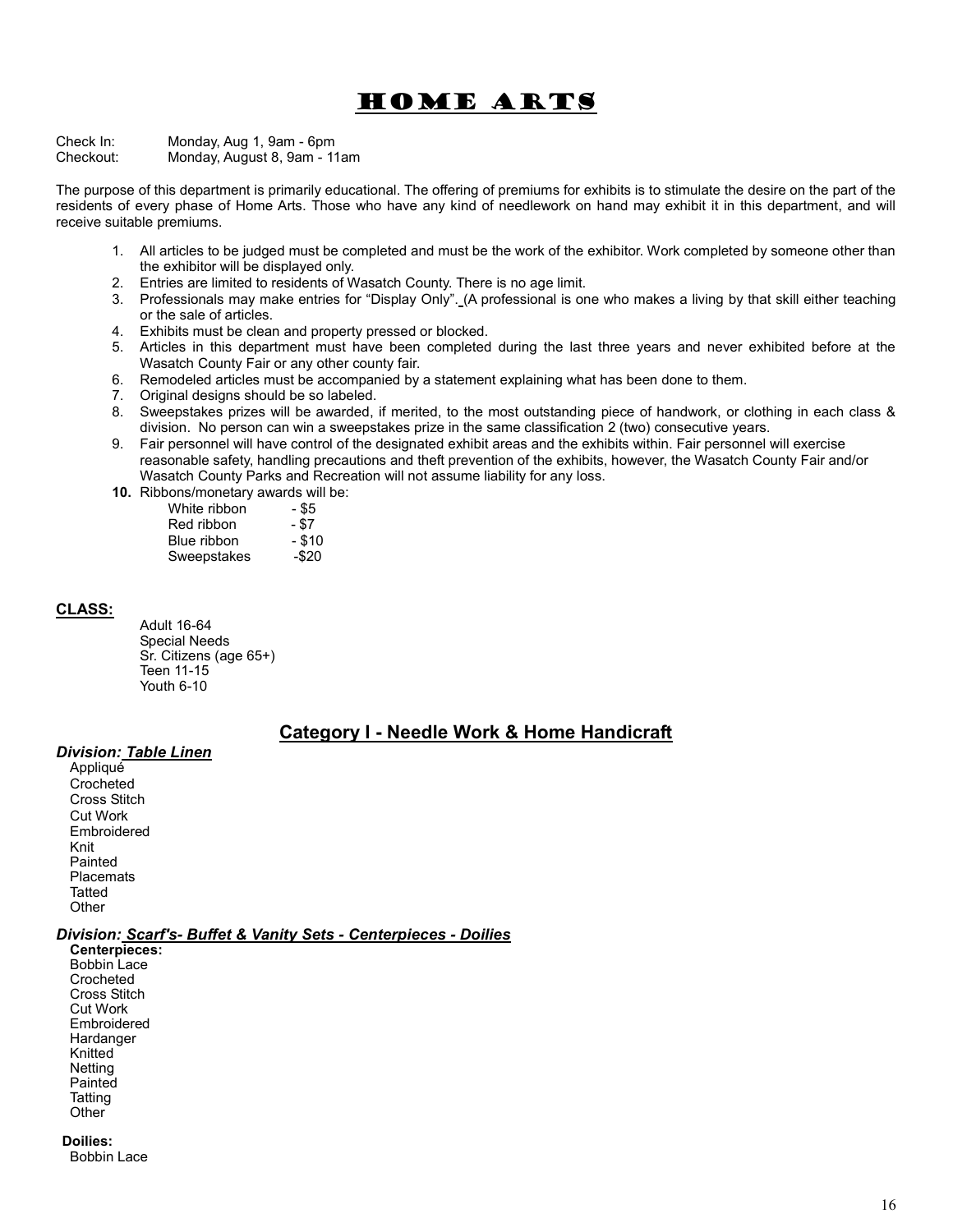# Home Arts

Check In: Monday, Aug 1, 9am - 6pm Checkout: Monday, August 8, 9am - 11am

The purpose of this department is primarily educational. The offering of premiums for exhibits is to stimulate the desire on the part of the residents of every phase of Home Arts. Those who have any kind of needlework on hand may exhibit it in this department, and will receive suitable premiums.

- 1. All articles to be judged must be completed and must be the work of the exhibitor. Work completed by someone other than the exhibitor will be displayed only.
- 2. Entries are limited to residents of Wasatch County. There is no age limit.
- 3. Professionals may make entries for "Display Only". (A professional is one who makes a living by that skill either teaching or the sale of articles.
- 4. Exhibits must be clean and property pressed or blocked.
- 5. Articles in this department must have been completed during the last three years and never exhibited before at the Wasatch County Fair or any other county fair.
- 6. Remodeled articles must be accompanied by a statement explaining what has been done to them.
- 7. Original designs should be so labeled.
- 8. Sweepstakes prizes will be awarded, if merited, to the most outstanding piece of handwork, or clothing in each class & division. No person can win a sweepstakes prize in the same classification 2 (two) consecutive years.
- 9. Fair personnel will have control of the designated exhibit areas and the exhibits within. Fair personnel will exercise reasonable safety, handling precautions and theft prevention of the exhibits, however, the Wasatch County Fair and/or Wasatch County Parks and Recreation will not assume liability for any loss.
- 10. Ribbons/monetary awards will be:

| White ribbon | - \$5    |
|--------------|----------|
| Red ribbon   | - \$7    |
| Blue ribbon  | $-$ \$10 |
| Sweepstakes  | -\$20    |

#### CLASS:

Adult 16-64 Special Needs Sr. Citizens (age 65+) Teen 11-15 Youth 6-10

## Category I - Needle Work & Home Handicraft

#### Division: Table Linen

Appliqué **Crocheted** Cross Stitch Cut Work Embroidered Knit Painted **Placemats Tatted Other** 

## Division: Scarf's- Buffet & Vanity Sets - Centerpieces - Doilies

Centerpieces: Bobbin Lace **Crocheted** Cross Stitch Cut Work Embroidered **Hardanger** Knitted **Netting** Painted **Tatting Other** 

#### Doilies:

Bobbin Lace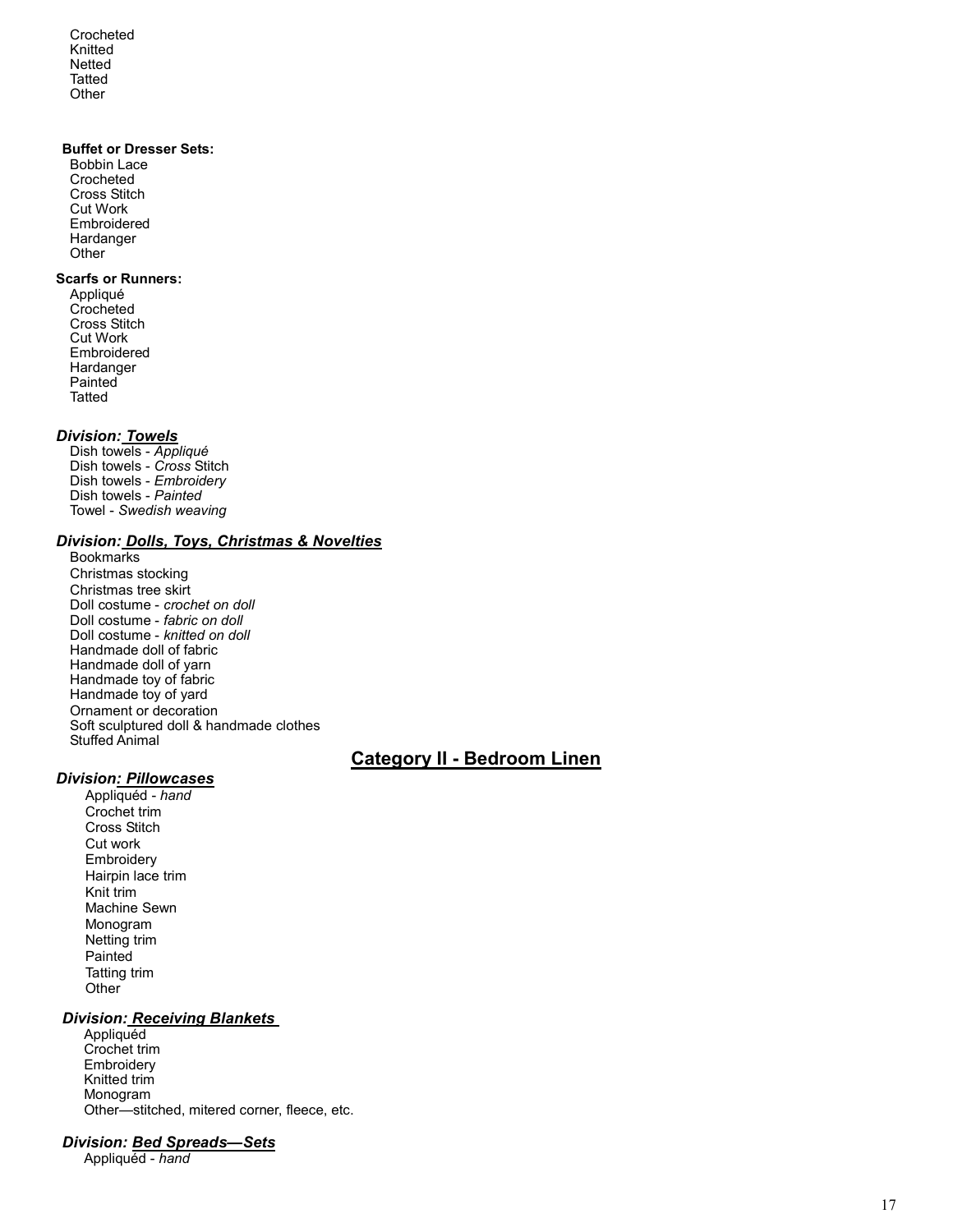Crocheted Knitted Netted **Tatted Other** 

#### Buffet or Dresser Sets:

Bobbin Lace Crocheted Cross Stitch Cut Work Embroidered Hardanger **Other** 

#### Scarfs or Runners:

Appliqué Crocheted Cross Stitch Cut Work Embroidered Hardanger **Painted Tatted** 

#### Division: Towels

Dish towels - Appliqué Dish towels - Cross Stitch Dish towels - Embroidery Dish towels - Painted Towel - Swedish weaving

## Division: Dolls, Toys, Christmas & Novelties

Bookmarks Christmas stocking Christmas tree skirt Doll costume - crochet on doll Doll costume - fabric on doll Doll costume - knitted on doll Handmade doll of fabric Handmade doll of yarn Handmade toy of fabric Handmade toy of yard Ornament or decoration Soft sculptured doll & handmade clothes Stuffed Animal

## Category II - Bedroom Linen

## Division: Pillowcases

Appliquéd - hand Crochet trim Cross Stitch Cut work **Embroidery** Hairpin lace trim Knit trim Machine Sewn Monogram Netting trim Painted Tatting trim Other

## Division: Receiving Blankets

**Appliquéd** Crochet trim **Embroidery** Knitted trim Monogram Other—stitched, mitered corner, fleece, etc.

#### Division: Bed Spreads—Sets

Appliquéd - hand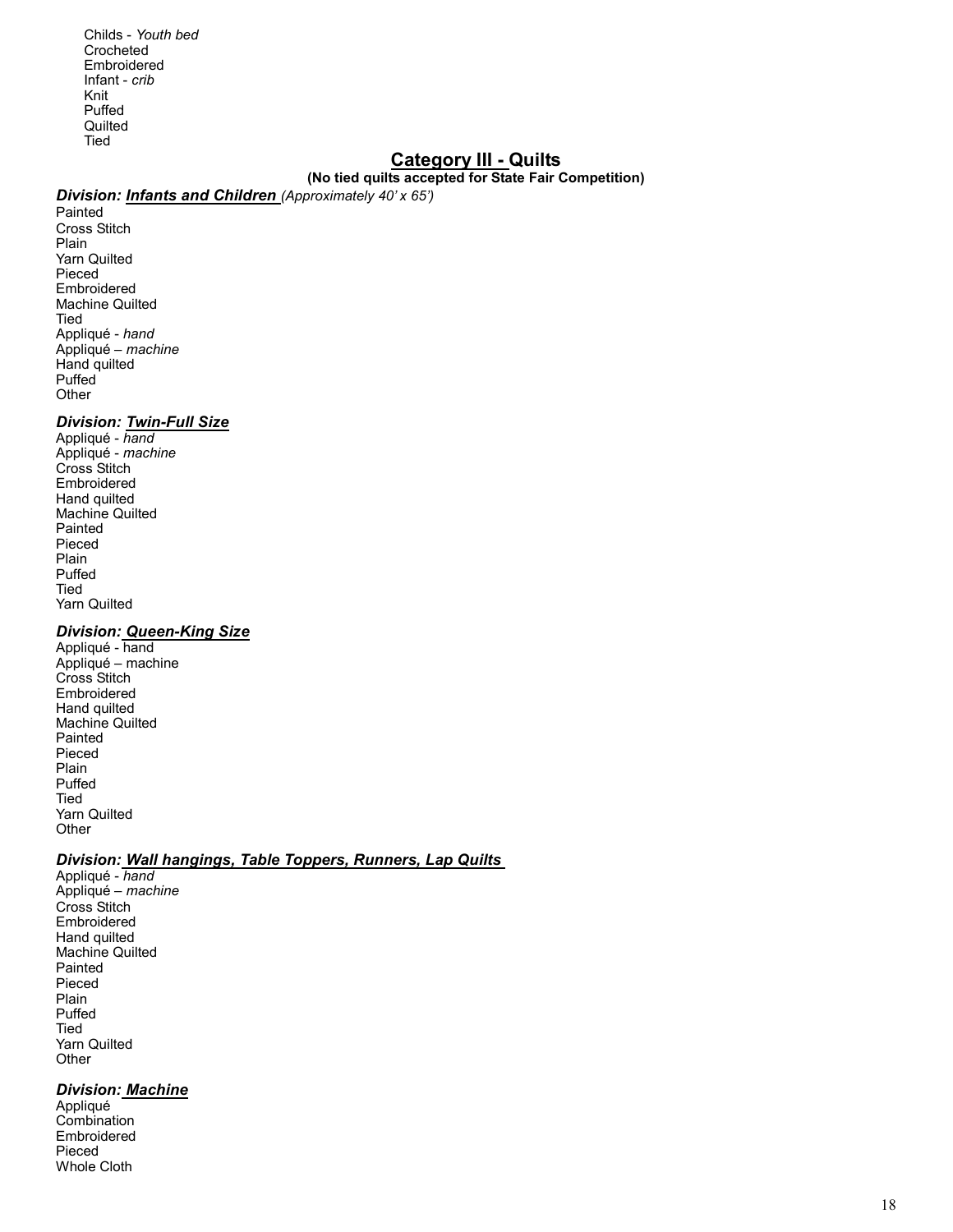Childs - Youth bed Crocheted Embroidered Infant - crib Knit Puffed **Quilted** Tied

## Category III - Quilts

## (No tied quilts accepted for State Fair Competition)

## Division: **Infants and Children** (Approximately 40' x 65')

Painted Cross Stitch Plain Yarn Quilted Pieced Embroidered Machine Quilted Tied Appliqué - hand Appliqué – machine Hand quilted Puffed **Other** 

#### Division: Twin-Full Size

Appliqué - hand Appliqué - machine Cross Stitch Embroidered Hand quilted Machine Quilted Painted Pieced Plain Puffed Tied Yarn Quilted

## Division: Queen-King Size

Appliqué - hand Appliqué – machine Cross Stitch Embroidered Hand quilted Machine Quilted Painted Pieced Plain Puffed Tied Yarn Quilted **Other** 

#### Division: Wall hangings, Table Toppers, Runners, Lap Quilts

Appliqué - hand Appliqué – machine Cross Stitch Embroidered Hand quilted Machine Quilted Painted Pieced Plain Puffed Tied Yarn Quilted **Other** 

## Division: Machine

Appliqué **Combination** Embroidered Pieced Whole Cloth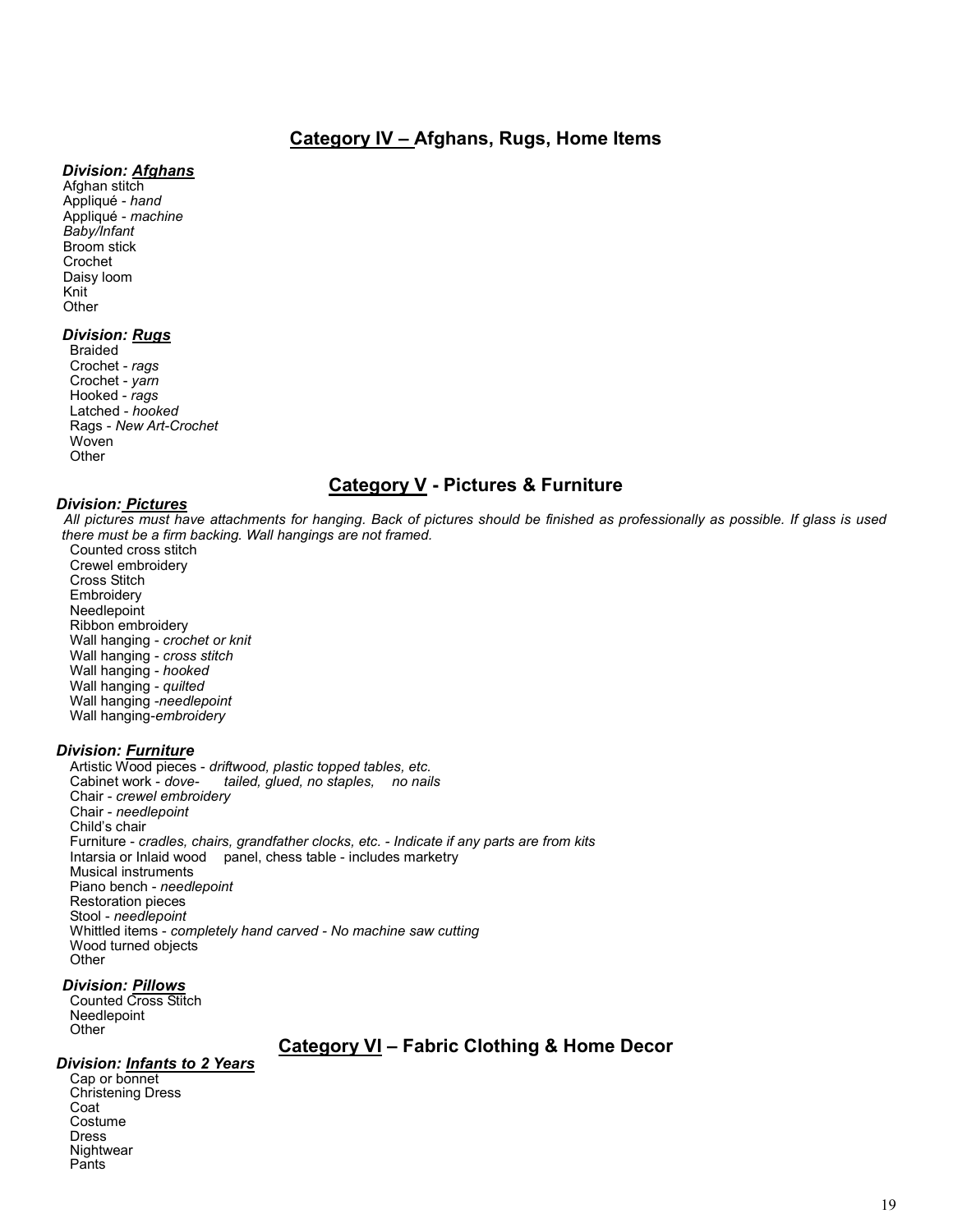## Category IV – Afghans, Rugs, Home Items

#### Division: Afghans

Afghan stitch Appliqué - hand Appliqué - machine Baby/Infant Broom stick Crochet Daisy loom Knit **Other** 

#### Division: Rugs

Braided Crochet - rags Crochet - yarn Hooked - rags Latched - hooked Rags - New Art-Crochet Woven **Other** 

## Category V - Pictures & Furniture

## Division: Pictures

All pictures must have attachments for hanging. Back of pictures should be finished as professionally as possible. If glass is used there must be a firm backing. Wall hangings are not framed.

Counted cross stitch Crewel embroidery Cross Stitch **Embroidery** Needlepoint Ribbon embroidery Wall hanging - crochet or knit Wall hanging - cross stitch Wall hanging - hooked Wall hanging - quilted Wall hanging -needlepoint Wall hanging-embroidery

#### Division: Furniture

Artistic Wood pieces - driftwood, plastic topped tables, etc. tailed, glued, no staples, no nails Chair - crewel embroidery Chair - needlepoint Child's chair Furniture - cradles, chairs, grandfather clocks, etc. - Indicate if any parts are from kits Intarsia or Inlaid wood panel, chess table - includes marketry Musical instruments Piano bench - needlepoint Restoration pieces Stool - needlepoint Whittled items - completely hand carved - No machine saw cutting Wood turned objects **Other** 

#### Division: Pillows

Counted Cross Stitch Needlepoint Other

# Category VI – Fabric Clothing & Home Decor

## Division: Infants to 2 Years

Cap or bonnet Christening Dress Coat Costume Dress **Nightwear** Pants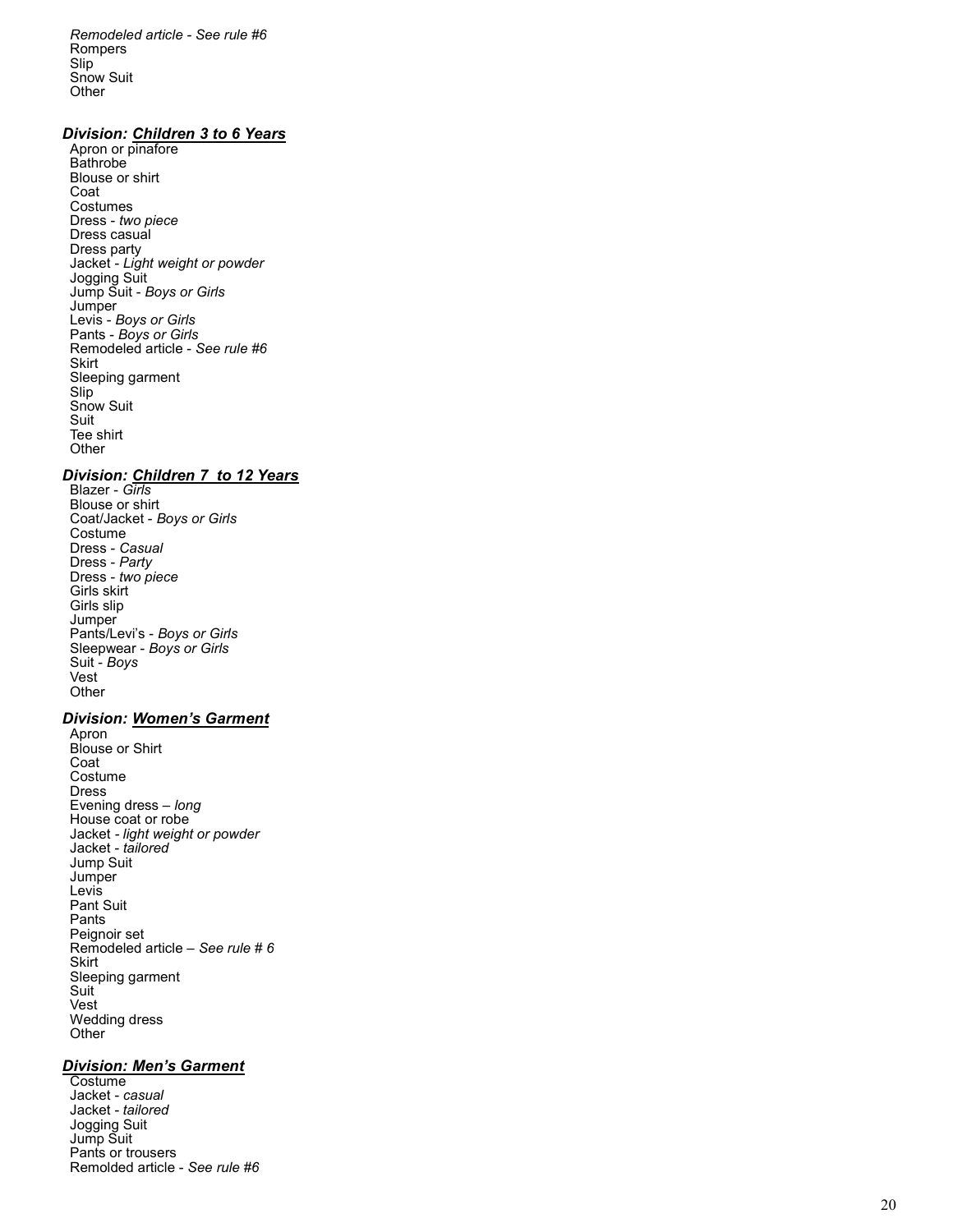Remodeled article - See rule #6 Rompers Slip Snow Suit **Other** 

#### Division: Children 3 to 6 Years

Apron or pinafore Bathrobe<sup>1</sup> Blouse or shirt Coat **Costumes** Dress - two piece Dress casual Dress party Jacket - Light weight or powder Jogging Suit Jump Suit - Boys or Girls **Jumper** Levis - Boys or Girls Pants - Boys or Girls Remodeled article - See rule #6 Skirt Sleeping garment Slip Snow Suit Suit Tee shirt **Other** 

#### Division: Children 7 to 12 Years

Blazer - *Gïrls* Blouse or shirt Coat/Jacket - Boys or Girls Costume Dress - Casual Dress - Party Dress - two piece Girls skirt Girls slip **Jumper** Pants/Levi's - Boys or Girls Sleepwear - Boys or Girls Suit - Boys Vest **Other** 

#### Division: Women's Garment

Apron Blouse or Shirt Coat Costume Dress Evening dress – long House coat or robe Jacket - light weight or powder Jacket - tailored Jump Suit Jumper **Levis** Pant Suit Pants Peignoir set Remodeled article – See rule # 6 **Skirt** Sleeping garment Suit Vest Wedding dress **Other** 

#### **Division: Men's Garment**

**Costume** Jacket - casual Jacket - tailored Jogging Suit Jump Suit Pants or trousers Remolded article - See rule #6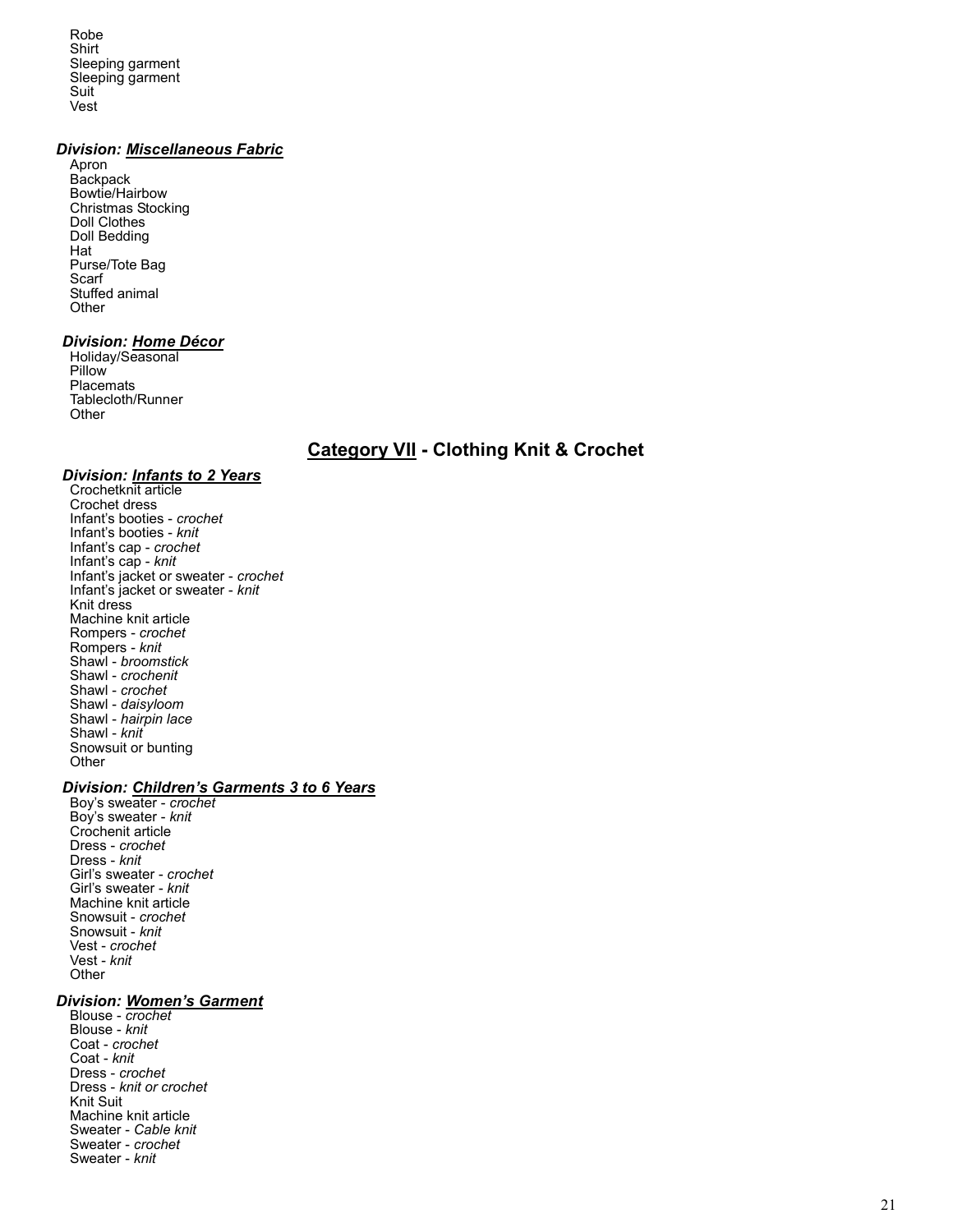Robe Shirt Sleeping garment Sleeping garment Suit Vest

## Division: Miscellaneous Fabric

Apron **Backpack** Bowtie/Hairbow Christmas Stocking Doll Clothes Doll Bedding Hat Purse/Tote Bag Scarf Stuffed animal **Other** 

#### Division: Home Décor

Holiday/Seasonal Pillow **Placemats** Tablecloth/Runner **Other** 

## **Category VII - Clothing Knit & Crochet**

#### Division: Infants to 2 Years

Crochetknit article Crochet dress Infant's booties - crochet Infant's booties - knit Infant's cap - crochet Infant's cap - knit Infant's jacket or sweater - crochet Infant's jacket or sweater - knit Knit dress Machine knit article Rompers - crochet Rompers - knit Shawl - broomstick Shawl - crochenit Shawl - crochet Shawl - *daisyloom* Shawl - hairpin lace Shawl - knit Snowsuit or bunting **Other** 

## Division: Children's Garments 3 to 6 Years

Boy's sweater - crochet Boy's sweater - knit Crochenit article Dress - crochet Dress - knit Girl's sweater - crochet Girl's sweater - knit Machine knit article Snowsuit - crochet Snowsuit - knit Vest - crochet Vest - *knit* **Other** 

#### Division: Women's Garment

Blouse - crochet Blouse - knit Coat - crochet Coat - knit Dress - crochet Dress - knit or crochet Knit Suit Machine knit article Sweater - Cable knit Sweater - crochet Sweater - knit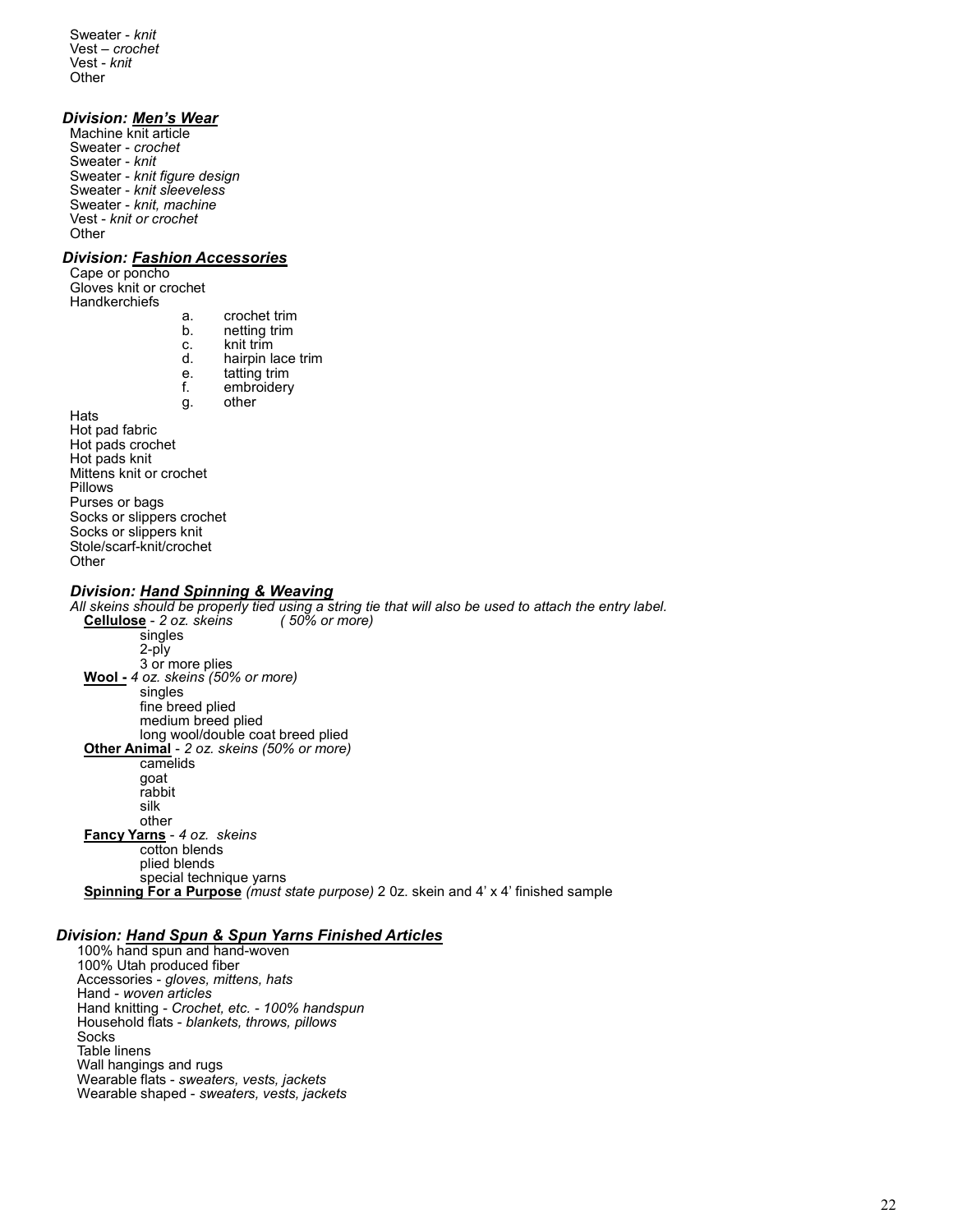Sweater - knit Vest – crochet Vest - knit **Other** 

#### Division: Men's Wear

Machine knit article Sweater - crochet Sweater - knit Sweater - knit figure design Sweater - knit sleeveless Sweater - knit, machine Vest - knit or crochet **Other** 

#### Division: Fashion Accessories

Cape or poncho Gloves knit or crochet **Handkerchiefs** 

- a. crochet trim<br>b. netting trim
- b. netting trim
- c. knit trim<br>d. hairpin l
- d. hairpin lace trim<br>e. tatting trim
- e. tatting trim<br>f. embroidery embroidery
- g. other

**Hats** Hot pad fabric Hot pads crochet Hot pads knit Mittens knit or crochet Pillows Purses or bags Socks or slippers crochet Socks or slippers knit Stole/scarf-knit/crochet **Other** 

#### Division: Hand Spinning & Weaving

All skeins should be properly tied using a string tie that will also be used to attach the entry label.<br>**Cellulose** - 2 oz. skeins (50% or more) Cellulose - 2 oz. skeins singles 2-ply 3 or more plies Wool - 4 oz. skeins (50% or more) singles fine breed plied medium breed plied long wool/double coat breed plied Other Animal - 2 oz. skeins (50% or more) camelids goat rabbit silk other Fancy Yarns - 4 oz. skeins cotton blends plied blends special technique yarns Spinning For a Purpose (must state purpose) 2 0z. skein and 4' x 4' finished sample

#### Division: Hand Spun & Spun Yarns Finished Articles

100% hand spun and hand-woven 100% Utah produced fiber Accessories - gloves, mittens, hats Hand - woven articles Hand knitting - Crochet, etc. - 100% handspun Household flats - blankets, throws, pillows Socks Table linens Wall hangings and rugs Wearable flats - sweaters, vests, jackets Wearable shaped - sweaters, vests, jackets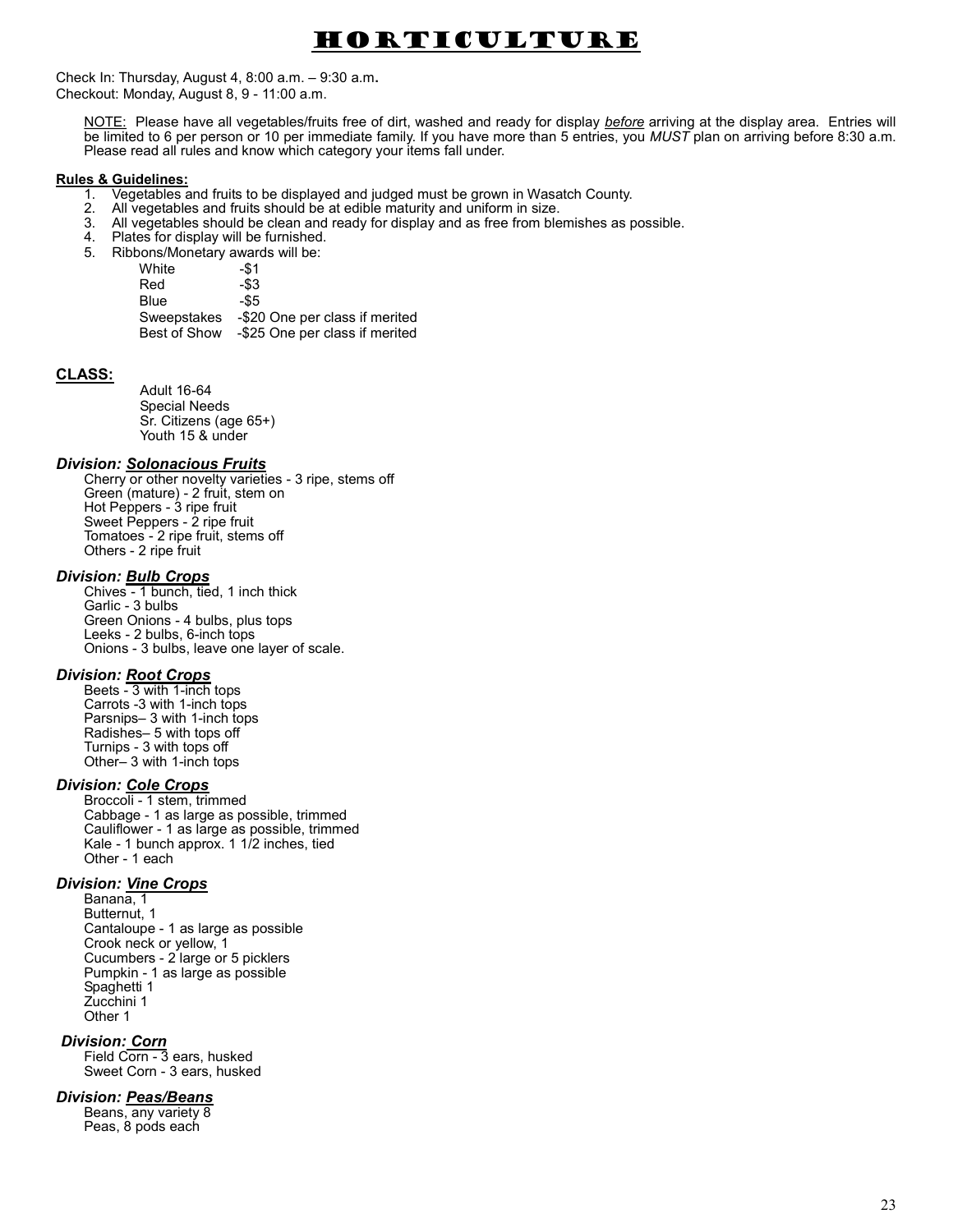# Horticulture

Check In: Thursday, August 4, 8:00 a.m. – 9:30 a.m. Checkout: Monday, August 8, 9 - 11:00 a.m.

NOTE: Please have all vegetables/fruits free of dirt, washed and ready for display before arriving at the display area. Entries will be limited to 6 per person or 10 per immediate family. If you have more than 5 entries, you MUST plan on arriving before 8:30 a.m. Please read all rules and know which category your items fall under.

#### Rules & Guidelines:

- 1. Vegetables and fruits to be displayed and judged must be grown in Wasatch County.
- 2. All vegetables and fruits should be at edible maturity and uniform in size.
- 3. All vegetables should be clean and ready for display and as free from blemishes as possible.<br>4. Plates for display will be furnished
- 4. Plates for display will be furnished.<br>5. Ribbons/Monetary awards will be:
- 5. Ribbons/Monetary awards will be:

White -\$1 Red -\$3 Blue -\$5 Sweepstakes -\$20 One per class if merited Best of Show -\$25 One per class if merited

#### CLASS:

Adult 16-64 Special Needs Sr. Citizens (age 65+) Youth 15 & under

#### Division: Solonacious Fruits

Cherry or other novelty varieties - 3 ripe, stems off Green (mature) - 2 fruit, stem on Hot Peppers - 3 ripe fruit Sweet Peppers - 2 ripe fruit Tomatoes - 2 ripe fruit, stems off Others - 2 ripe fruit

#### Division: **Bulb Crops**

Chives - 1 bunch, tied, 1 inch thick Garlic - 3 bulbs Green Onions - 4 bulbs, plus tops Leeks - 2 bulbs, 6-inch tops Onions - 3 bulbs, leave one layer of scale.

#### Division: Root Crops

Beets - 3 with 1-inch tops Carrots -3 with 1-inch tops Parsnips– 3 with 1-inch tops Radishes– 5 with tops off Turnips - 3 with tops off Other– 3 with 1-inch tops

#### Division: Cole Crops

Broccoli - 1 stem, trimmed Cabbage - 1 as large as possible, trimmed Cauliflower - 1 as large as possible, trimmed Kale - 1 bunch approx. 1 1/2 inches, tied Other - 1 each

## Division: Vine Crops

Banana, 1 Butternut, 1 Cantaloupe - 1 as large as possible Crook neck or yellow, 1 Cucumbers - 2 large or 5 picklers Pumpkin - 1 as large as possible Spaghetti 1 Zucchini 1 Other 1

Division: Corn Field Corn - 3 ears, husked Sweet Corn - 3 ears, husked

#### Division: Peas/Beans

Beans, any variety 8 Peas, 8 pods each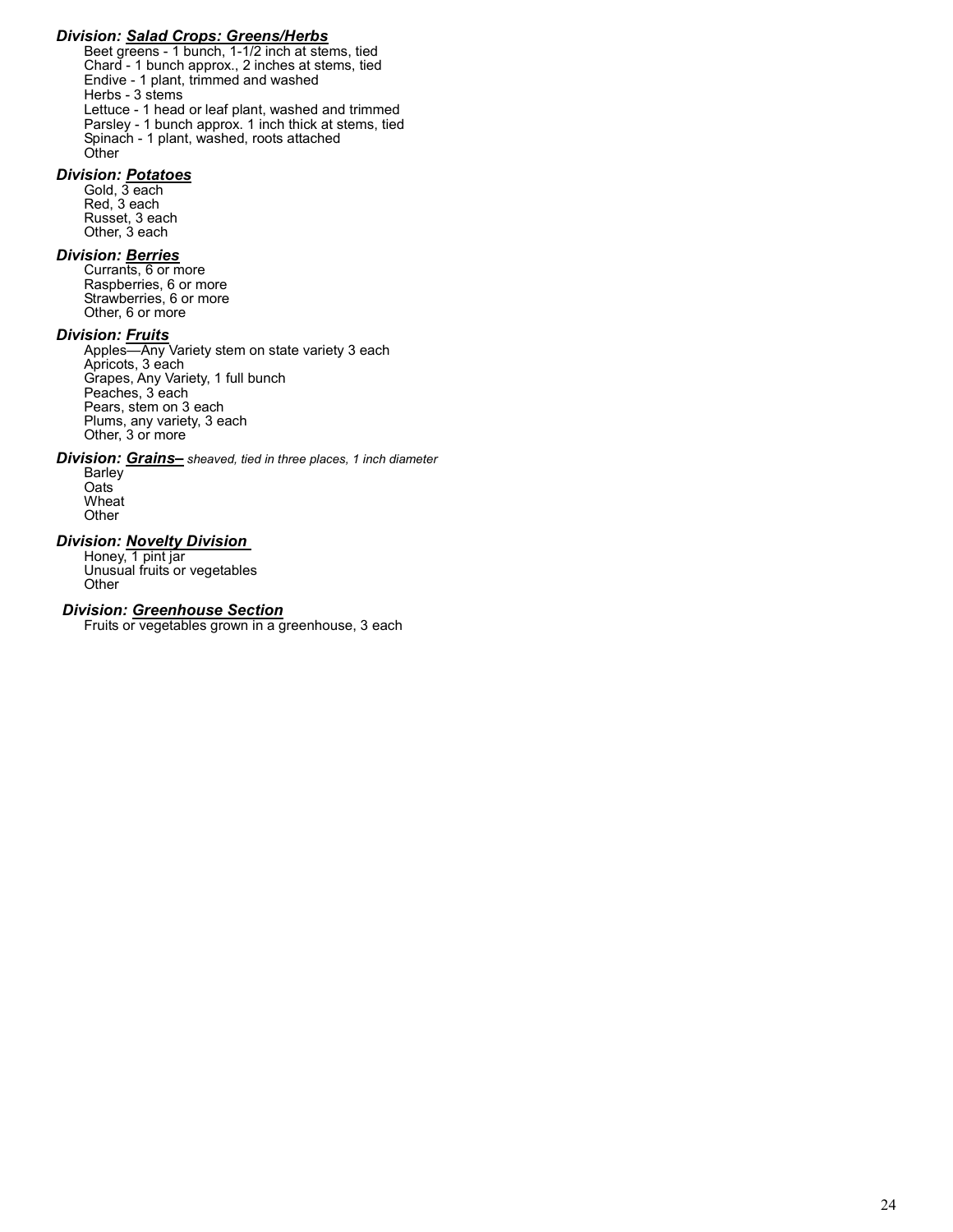## Division: Salad Crops: Greens/Herbs

Beet greens - 1 bunch, 1-1/2 inch at stems, tied Chard - 1 bunch approx., 2 inches at stems, tied Endive - 1 plant, trimmed and washed Herbs - 3 stems Lettuce - 1 head or leaf plant, washed and trimmed Parsley - 1 bunch approx. 1 inch thick at stems, tied Spinach - 1 plant, washed, roots attached **Other** 

## Division: Potatoes

Gold, 3 each Red, 3 each Russet, 3 each Other, 3 each

## **Division: Berries**

Currants, 6 or more Raspberries, 6 or more Strawberries, 6 or more Other, 6 or more

## Division: <u>Fruits</u>

Apples—Any Variety stem on state variety 3 each Apricots, 3 each Grapes, Any Variety, 1 full bunch Peaches, 3 each Pears, stem on 3 each Plums, any variety, 3 each Other, 3 or more

## **Division: Grains-** sheaved, tied in three places, 1 inch diameter

Barley Oats Wheat **Other** 

## **Division: Novelty Division**

Honey, 1 pint jar Unusual fruits or vegetables **Other** 

#### Division: Greenhouse Section

Fruits or vegetables grown in a greenhouse, 3 each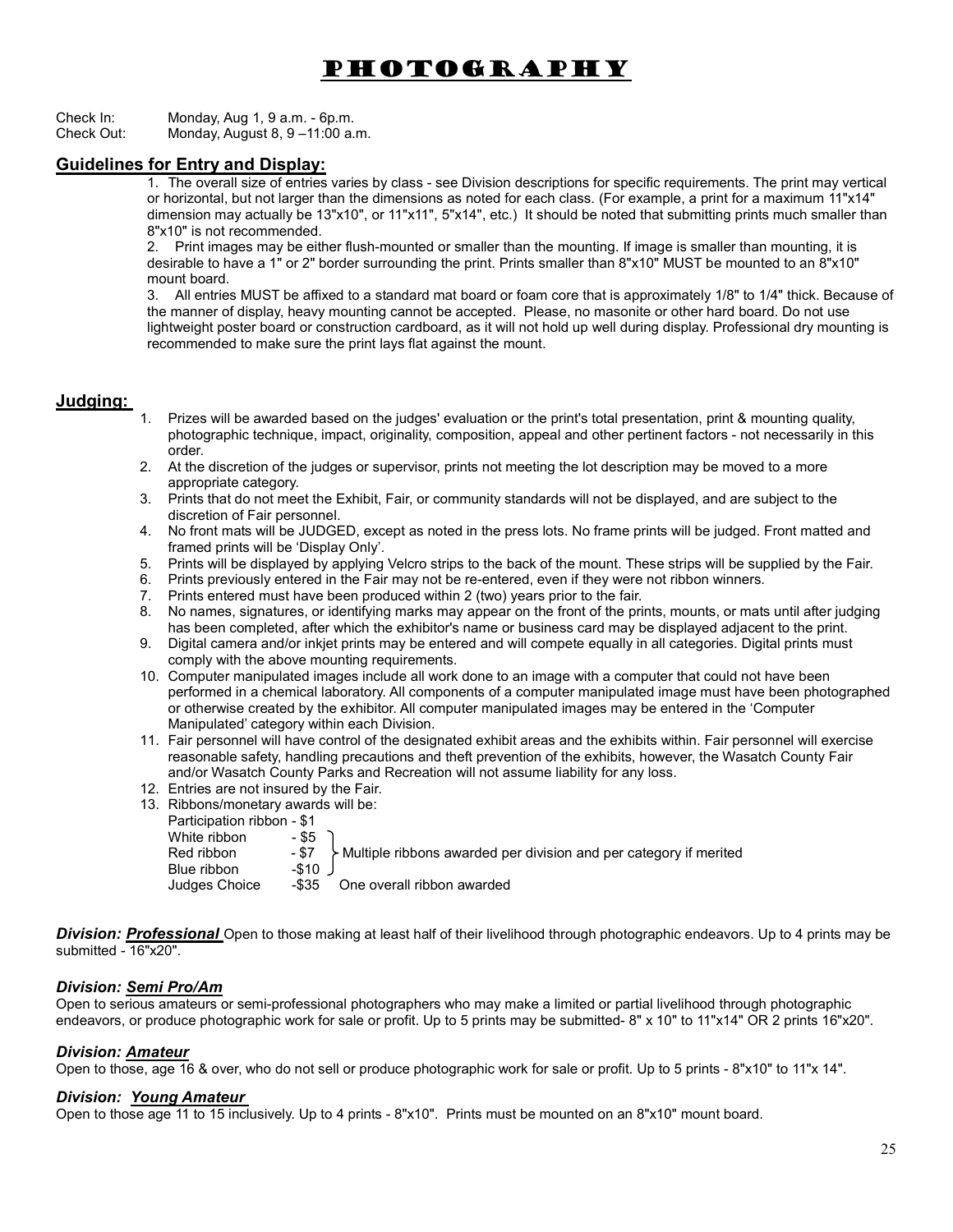# Photography

Check In: Monday, Aug 1, 9 a.m. - 6p.m.<br>Check Out: Monday August 8, 9 – 11:00 a. Monday, August 8,  $9 - 11:00$  a.m.

## Guidelines for Entry and Display:

1. The overall size of entries varies by class - see Division descriptions for specific requirements. The print may vertical or horizontal, but not larger than the dimensions as noted for each class. (For example, a print for a maximum 11"x14" dimension may actually be 13"x10", or 11"x11", 5"x14", etc.) It should be noted that submitting prints much smaller than 8"x10" is not recommended.

2. Print images may be either flush-mounted or smaller than the mounting. If image is smaller than mounting, it is desirable to have a 1" or 2" border surrounding the print. Prints smaller than 8"x10" MUST be mounted to an 8"x10" mount board.

3. All entries MUST be affixed to a standard mat board or foam core that is approximately 1/8" to 1/4" thick. Because of the manner of display, heavy mounting cannot be accepted. Please, no masonite or other hard board. Do not use lightweight poster board or construction cardboard, as it will not hold up well during display. Professional dry mounting is recommended to make sure the print lays flat against the mount.

## Judging:

- 1. Prizes will be awarded based on the judges' evaluation or the print's total presentation, print & mounting quality, photographic technique, impact, originality, composition, appeal and other pertinent factors - not necessarily in this order.
- 2. At the discretion of the judges or supervisor, prints not meeting the lot description may be moved to a more appropriate category.
- 3. Prints that do not meet the Exhibit, Fair, or community standards will not be displayed, and are subject to the discretion of Fair personnel.
- 4. No front mats will be JUDGED, except as noted in the press lots. No frame prints will be judged. Front matted and framed prints will be 'Display Only'.
- 5. Prints will be displayed by applying Velcro strips to the back of the mount. These strips will be supplied by the Fair.
- 6. Prints previously entered in the Fair may not be re-entered, even if they were not ribbon winners.
- 7. Prints entered must have been produced within 2 (two) years prior to the fair.
- 8. No names, signatures, or identifying marks may appear on the front of the prints, mounts, or mats until after judging has been completed, after which the exhibitor's name or business card may be displayed adjacent to the print.
- 9. Digital camera and/or inkjet prints may be entered and will compete equally in all categories. Digital prints must comply with the above mounting requirements.
- 10. Computer manipulated images include all work done to an image with a computer that could not have been performed in a chemical laboratory. All components of a computer manipulated image must have been photographed or otherwise created by the exhibitor. All computer manipulated images may be entered in the 'Computer Manipulated' category within each Division.
- 11. Fair personnel will have control of the designated exhibit areas and the exhibits within. Fair personnel will exercise reasonable safety, handling precautions and theft prevention of the exhibits, however, the Wasatch County Fair and/or Wasatch County Parks and Recreation will not assume liability for any loss.
- 12. Entries are not insured by the Fair.
- 13. Ribbons/monetary awards will be:
	- Participation ribbon \$1
	- White ribbon

| VVIIIIG IIDDUIT<br>Red ribbon<br>Blue ribbon | - കാ<br>- \$7<br>$-$ \$10 J | Multiple ribbons awarded per division and per category if merited |
|----------------------------------------------|-----------------------------|-------------------------------------------------------------------|
| Judges Choice                                |                             | -\$35 One overall ribbon awarded                                  |

**Division: Professional** Open to those making at least half of their livelihood through photographic endeavors. Up to 4 prints may be submitted - 16"x20".

## Division: Semi Pro/Am

Open to serious amateurs or semi-professional photographers who may make a limited or partial livelihood through photographic endeavors, or produce photographic work for sale or profit. Up to 5 prints may be submitted- 8" x 10" to 11"x14" OR 2 prints 16"x20".

## **Division: Amateur**

Open to those, age 16 & over, who do not sell or produce photographic work for sale or profit. Up to 5 prints - 8"x10" to 11"x 14".

## Division: Young Amateur

Open to those age 11 to 15 inclusively. Up to 4 prints - 8"x10". Prints must be mounted on an 8"x10" mount board.